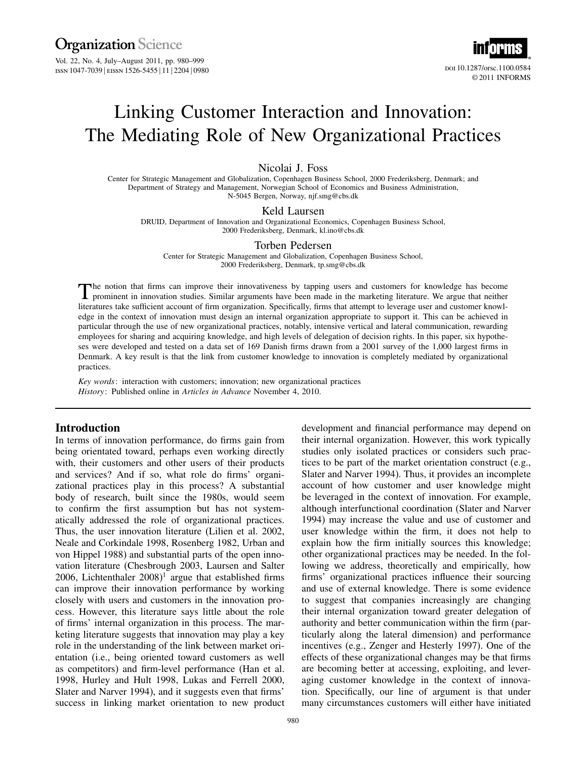**Vol. 22, No. 4, July–August 2011, pp. 980–999** issn 1047-7039 eissn 1526-5455 <sup>11</sup> <sup>2204</sup> <sup>0980</sup> doi 10.1287/orsc.1100.0584



# Linking Customer Interaction and Innovation: The Mediating Role of New Organizational Practices

Nicolai J. Foss

Center for Strategic Management and Globalization, Copenhagen Business School, 2000 Frederiksberg, Denmark; and Department of Strategy and Management, Norwegian School of Economics and Business Administration, N-5045 Bergen, Norway, njf.smg@cbs.dk

### Keld Laursen

DRUID, Department of Innovation and Organizational Economics, Copenhagen Business School, 2000 Frederiksberg, Denmark, kl.ino@cbs.dk

#### Torben Pedersen

Center for Strategic Management and Globalization, Copenhagen Business School, 2000 Frederiksberg, Denmark, tp.smg@cbs.dk

The notion that firms can improve their innovativeness by tapping users and customers for knowledge has become prominent in innovation studies. Similar arguments have been made in the marketing literature. We argue that ne he notion that firms can improve their innovativeness by tapping users and customers for knowledge has become literatures take sufficient account of firm organization. Specifically, firms that attempt to leverage user and customer knowledge in the context of innovation must design an internal organization appropriate to support it. This can be achieved in particular through the use of new organizational practices, notably, intensive vertical and lateral communication, rewarding employees for sharing and acquiring knowledge, and high levels of delegation of decision rights. In this paper, six hypotheses were developed and tested on a data set of 169 Danish firms drawn from a 2001 survey of the 1,000 largest firms in Denmark. A key result is that the link from customer knowledge to innovation is completely mediated by organizational practices.

Key words: interaction with customers; innovation; new organizational practices History: Published online in Articles in Advance November 4, 2010.

## Introduction

In terms of innovation performance, do firms gain from being orientated toward, perhaps even working directly with, their customers and other users of their products and services? And if so, what role do firms' organizational practices play in this process? A substantial body of research, built since the 1980s, would seem to confirm the first assumption but has not systematically addressed the role of organizational practices. Thus, the user innovation literature (Lilien et al. 2002, Neale and Corkindale 1998, Rosenberg 1982, Urban and von Hippel 1988) and substantial parts of the open innovation literature (Chesbrough 2003, Laursen and Salter 2006, Lichtenthaler  $2008$ <sup>1</sup> argue that established firms can improve their innovation performance by working closely with users and customers in the innovation process. However, this literature says little about the role of firms' internal organization in this process. The marketing literature suggests that innovation may play a key role in the understanding of the link between market orientation (i.e., being oriented toward customers as well as competitors) and firm-level performance (Han et al. 1998, Hurley and Hult 1998, Lukas and Ferrell 2000, Slater and Narver 1994), and it suggests even that firms' success in linking market orientation to new product development and financial performance may depend on their internal organization. However, this work typically studies only isolated practices or considers such practices to be part of the market orientation construct (e.g., Slater and Narver 1994). Thus, it provides an incomplete account of how customer and user knowledge might be leveraged in the context of innovation. For example, although interfunctional coordination (Slater and Narver 1994) may increase the value and use of customer and user knowledge within the firm, it does not help to explain how the firm initially sources this knowledge; other organizational practices may be needed. In the following we address, theoretically and empirically, how firms' organizational practices influence their sourcing and use of external knowledge. There is some evidence to suggest that companies increasingly are changing their internal organization toward greater delegation of authority and better communication within the firm (particularly along the lateral dimension) and performance incentives (e.g., Zenger and Hesterly 1997). One of the effects of these organizational changes may be that firms are becoming better at accessing, exploiting, and leveraging customer knowledge in the context of innovation. Specifically, our line of argument is that under many circumstances customers will either have initiated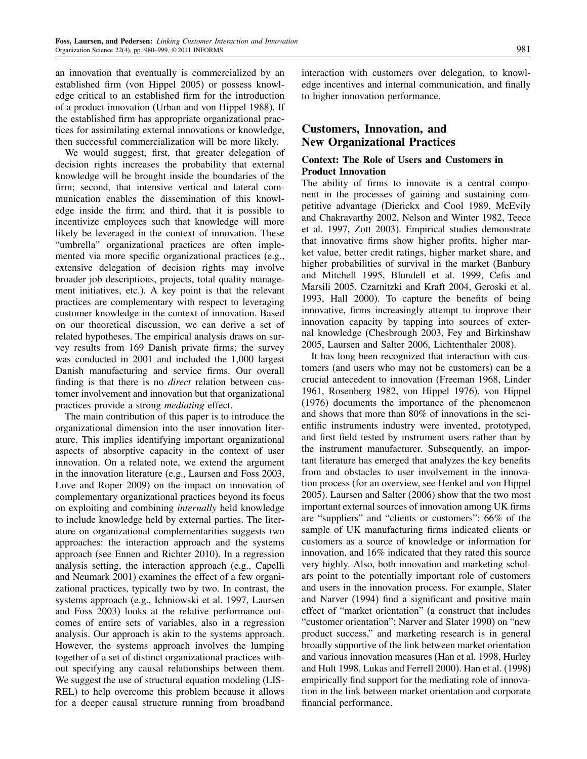an innovation that eventually is commercialized by an established firm (von Hippel 2005) or possess knowledge critical to an established firm for the introduction of a product innovation (Urban and von Hippel 1988). If the established firm has appropriate organizational practices for assimilating external innovations or knowledge, then successful commercialization will be more likely.

We would suggest, first, that greater delegation of decision rights increases the probability that external knowledge will be brought inside the boundaries of the firm; second, that intensive vertical and lateral communication enables the dissemination of this knowledge inside the firm; and third, that it is possible to incentivize employees such that knowledge will more likely be leveraged in the context of innovation. These "umbrella" organizational practices are often implemented via more specific organizational practices (e.g., extensive delegation of decision rights may involve broader job descriptions, projects, total quality management initiatives, etc.). A key point is that the relevant practices are complementary with respect to leveraging customer knowledge in the context of innovation. Based on our theoretical discussion, we can derive a set of related hypotheses. The empirical analysis draws on survey results from 169 Danish private firms; the survey was conducted in 2001 and included the 1,000 largest Danish manufacturing and service firms. Our overall finding is that there is no *direct* relation between customer involvement and innovation but that organizational practices provide a strong mediating effect.

The main contribution of this paper is to introduce the organizational dimension into the user innovation literature. This implies identifying important organizational aspects of absorptive capacity in the context of user innovation. On a related note, we extend the argument in the innovation literature (e.g., Laursen and Foss 2003, Love and Roper 2009) on the impact on innovation of complementary organizational practices beyond its focus on exploiting and combining internally held knowledge to include knowledge held by external parties. The literature on organizational complementarities suggests two approaches: the interaction approach and the systems approach (see Ennen and Richter 2010). In a regression analysis setting, the interaction approach (e.g., Capelli and Neumark 2001) examines the effect of a few organizational practices, typically two by two. In contrast, the systems approach (e.g., Ichniowski et al. 1997, Laursen and Foss 2003) looks at the relative performance outcomes of entire sets of variables, also in a regression analysis. Our approach is akin to the systems approach. However, the systems approach involves the lumping together of a set of distinct organizational practices without specifying any causal relationships between them. We suggest the use of structural equation modeling (LIS-REL) to help overcome this problem because it allows for a deeper causal structure running from broadband interaction with customers over delegation, to knowledge incentives and internal communication, and finally to higher innovation performance.

# Customers, Innovation, and New Organizational Practices

### Context: The Role of Users and Customers in Product Innovation

The ability of firms to innovate is a central component in the processes of gaining and sustaining competitive advantage (Dierickx and Cool 1989, McEvily and Chakravarthy 2002, Nelson and Winter 1982, Teece et al. 1997, Zott 2003). Empirical studies demonstrate that innovative firms show higher profits, higher market value, better credit ratings, higher market share, and higher probabilities of survival in the market (Banbury and Mitchell 1995, Blundell et al. 1999, Cefis and Marsili 2005, Czarnitzki and Kraft 2004, Geroski et al. 1993, Hall 2000). To capture the benefits of being innovative, firms increasingly attempt to improve their innovation capacity by tapping into sources of external knowledge (Chesbrough 2003, Fey and Birkinshaw 2005, Laursen and Salter 2006, Lichtenthaler 2008).

It has long been recognized that interaction with customers (and users who may not be customers) can be a crucial antecedent to innovation (Freeman 1968, Linder 1961, Rosenberg 1982, von Hippel 1976). von Hippel (1976) documents the importance of the phenomenon and shows that more than 80% of innovations in the scientific instruments industry were invented, prototyped, and first field tested by instrument users rather than by the instrument manufacturer. Subsequently, an important literature has emerged that analyzes the key benefits from and obstacles to user involvement in the innovation process (for an overview, see Henkel and von Hippel 2005). Laursen and Salter (2006) show that the two most important external sources of innovation among UK firms are "suppliers" and "clients or customers": 66% of the sample of UK manufacturing firms indicated clients or customers as a source of knowledge or information for innovation, and 16% indicated that they rated this source very highly. Also, both innovation and marketing scholars point to the potentially important role of customers and users in the innovation process. For example, Slater and Narver (1994) find a significant and positive main effect of "market orientation" (a construct that includes "customer orientation"; Narver and Slater 1990) on "new product success," and marketing research is in general broadly supportive of the link between market orientation and various innovation measures (Han et al. 1998, Hurley and Hult 1998, Lukas and Ferrell 2000). Han et al. (1998) empirically find support for the mediating role of innovation in the link between market orientation and corporate financial performance.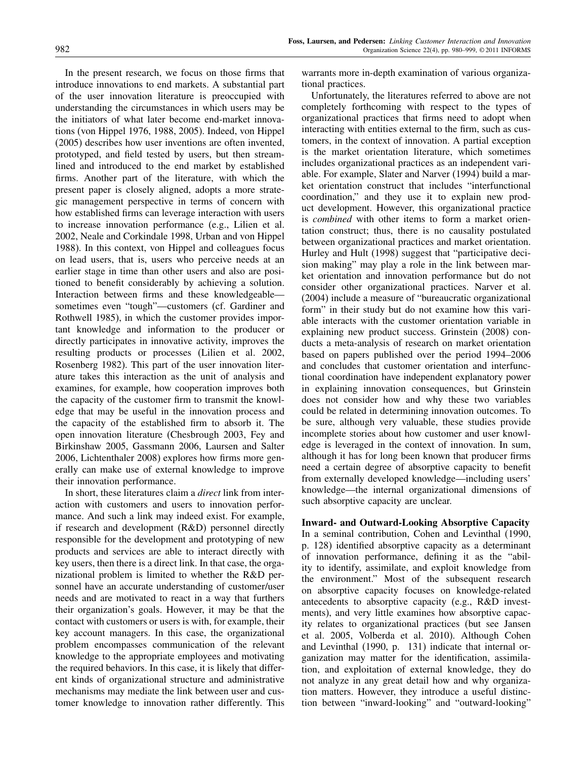In the present research, we focus on those firms that introduce innovations to end markets. A substantial part of the user innovation literature is preoccupied with understanding the circumstances in which users may be the initiators of what later become end-market innovations (von Hippel 1976, 1988, 2005). Indeed, von Hippel (2005) describes how user inventions are often invented, prototyped, and field tested by users, but then streamlined and introduced to the end market by established firms. Another part of the literature, with which the present paper is closely aligned, adopts a more strategic management perspective in terms of concern with how established firms can leverage interaction with users to increase innovation performance (e.g., Lilien et al. 2002, Neale and Corkindale 1998, Urban and von Hippel 1988). In this context, von Hippel and colleagues focus on lead users, that is, users who perceive needs at an earlier stage in time than other users and also are positioned to benefit considerably by achieving a solution. Interaction between firms and these knowledgeable sometimes even "tough"—customers (cf. Gardiner and Rothwell 1985), in which the customer provides important knowledge and information to the producer or directly participates in innovative activity, improves the resulting products or processes (Lilien et al. 2002, Rosenberg 1982). This part of the user innovation literature takes this interaction as the unit of analysis and examines, for example, how cooperation improves both the capacity of the customer firm to transmit the knowledge that may be useful in the innovation process and the capacity of the established firm to absorb it. The open innovation literature (Chesbrough 2003, Fey and Birkinshaw 2005, Gassmann 2006, Laursen and Salter 2006, Lichtenthaler 2008) explores how firms more gen-

their innovation performance. In short, these literatures claim a *direct* link from interaction with customers and users to innovation performance. And such a link may indeed exist. For example, if research and development (R&D) personnel directly responsible for the development and prototyping of new products and services are able to interact directly with key users, then there is a direct link. In that case, the organizational problem is limited to whether the R&D personnel have an accurate understanding of customer/user needs and are motivated to react in a way that furthers their organization's goals. However, it may be that the contact with customers or users is with, for example, their key account managers. In this case, the organizational problem encompasses communication of the relevant knowledge to the appropriate employees and motivating the required behaviors. In this case, it is likely that different kinds of organizational structure and administrative mechanisms may mediate the link between user and customer knowledge to innovation rather differently. This

erally can make use of external knowledge to improve

warrants more in-depth examination of various organizational practices.

Unfortunately, the literatures referred to above are not completely forthcoming with respect to the types of organizational practices that firms need to adopt when interacting with entities external to the firm, such as customers, in the context of innovation. A partial exception is the market orientation literature, which sometimes includes organizational practices as an independent variable. For example, Slater and Narver (1994) build a market orientation construct that includes "interfunctional coordination," and they use it to explain new product development. However, this organizational practice is combined with other items to form a market orientation construct; thus, there is no causality postulated between organizational practices and market orientation. Hurley and Hult (1998) suggest that "participative decision making" may play a role in the link between market orientation and innovation performance but do not consider other organizational practices. Narver et al. (2004) include a measure of "bureaucratic organizational form" in their study but do not examine how this variable interacts with the customer orientation variable in explaining new product success. Grinstein (2008) conducts a meta-analysis of research on market orientation based on papers published over the period 1994–2006 and concludes that customer orientation and interfunctional coordination have independent explanatory power in explaining innovation consequences, but Grinstein does not consider how and why these two variables could be related in determining innovation outcomes. To be sure, although very valuable, these studies provide incomplete stories about how customer and user knowledge is leveraged in the context of innovation. In sum, although it has for long been known that producer firms need a certain degree of absorptive capacity to benefit from externally developed knowledge—including users' knowledge—the internal organizational dimensions of such absorptive capacity are unclear.

#### Inward- and Outward-Looking Absorptive Capacity

In a seminal contribution, Cohen and Levinthal (1990, p. 128) identified absorptive capacity as a determinant of innovation performance, defining it as the "ability to identify, assimilate, and exploit knowledge from the environment." Most of the subsequent research on absorptive capacity focuses on knowledge-related antecedents to absorptive capacity (e.g., R&D investments), and very little examines how absorptive capacity relates to organizational practices (but see Jansen et al. 2005, Volberda et al. 2010). Although Cohen and Levinthal (1990, p. 131) indicate that internal organization may matter for the identification, assimilation, and exploitation of external knowledge, they do not analyze in any great detail how and why organization matters. However, they introduce a useful distinction between "inward-looking" and "outward-looking"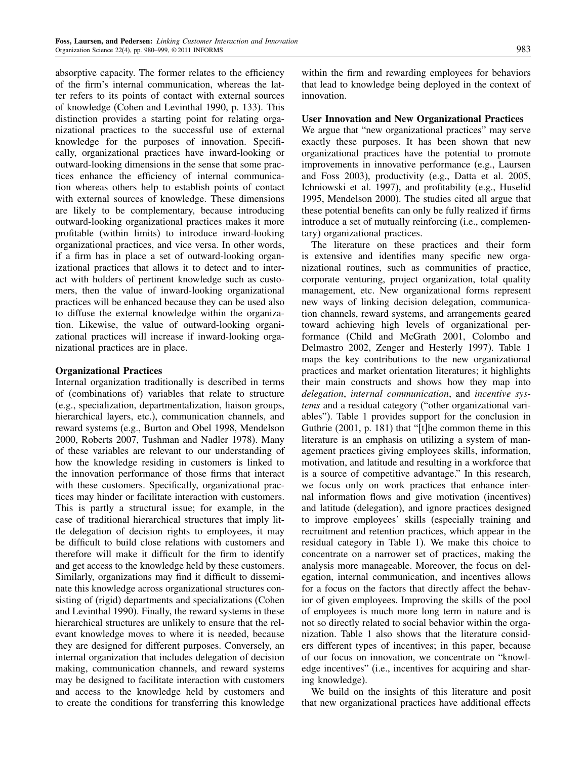absorptive capacity. The former relates to the efficiency of the firm's internal communication, whereas the latter refers to its points of contact with external sources of knowledge (Cohen and Levinthal 1990, p. 133). This distinction provides a starting point for relating organizational practices to the successful use of external knowledge for the purposes of innovation. Specifically, organizational practices have inward-looking or outward-looking dimensions in the sense that some practices enhance the efficiency of internal communication whereas others help to establish points of contact with external sources of knowledge. These dimensions are likely to be complementary, because introducing outward-looking organizational practices makes it more profitable (within limits) to introduce inward-looking organizational practices, and vice versa. In other words, if a firm has in place a set of outward-looking organizational practices that allows it to detect and to interact with holders of pertinent knowledge such as customers, then the value of inward-looking organizational practices will be enhanced because they can be used also to diffuse the external knowledge within the organization. Likewise, the value of outward-looking organizational practices will increase if inward-looking organizational practices are in place.

### Organizational Practices

Internal organization traditionally is described in terms of (combinations of) variables that relate to structure (e.g., specialization, departmentalization, liaison groups, hierarchical layers, etc.), communication channels, and reward systems (e.g., Burton and Obel 1998, Mendelson 2000, Roberts 2007, Tushman and Nadler 1978). Many of these variables are relevant to our understanding of how the knowledge residing in customers is linked to the innovation performance of those firms that interact with these customers. Specifically, organizational practices may hinder or facilitate interaction with customers. This is partly a structural issue; for example, in the case of traditional hierarchical structures that imply little delegation of decision rights to employees, it may be difficult to build close relations with customers and therefore will make it difficult for the firm to identify and get access to the knowledge held by these customers. Similarly, organizations may find it difficult to disseminate this knowledge across organizational structures consisting of (rigid) departments and specializations (Cohen and Levinthal 1990). Finally, the reward systems in these hierarchical structures are unlikely to ensure that the relevant knowledge moves to where it is needed, because they are designed for different purposes. Conversely, an internal organization that includes delegation of decision making, communication channels, and reward systems may be designed to facilitate interaction with customers and access to the knowledge held by customers and to create the conditions for transferring this knowledge within the firm and rewarding employees for behaviors that lead to knowledge being deployed in the context of innovation.

## User Innovation and New Organizational Practices

We argue that "new organizational practices" may serve exactly these purposes. It has been shown that new organizational practices have the potential to promote improvements in innovative performance (e.g., Laursen and Foss 2003), productivity (e.g., Datta et al. 2005, Ichniowski et al. 1997), and profitability (e.g., Huselid 1995, Mendelson 2000). The studies cited all argue that these potential benefits can only be fully realized if firms introduce a set of mutually reinforcing (i.e., complementary) organizational practices.

The literature on these practices and their form is extensive and identifies many specific new organizational routines, such as communities of practice, corporate venturing, project organization, total quality management, etc. New organizational forms represent new ways of linking decision delegation, communication channels, reward systems, and arrangements geared toward achieving high levels of organizational performance (Child and McGrath 2001, Colombo and Delmastro 2002, Zenger and Hesterly 1997). Table 1 maps the key contributions to the new organizational practices and market orientation literatures; it highlights their main constructs and shows how they map into delegation, internal communication, and incentive systems and a residual category ("other organizational variables"). Table 1 provides support for the conclusion in Guthrie (2001, p. 181) that "[t]he common theme in this literature is an emphasis on utilizing a system of management practices giving employees skills, information, motivation, and latitude and resulting in a workforce that is a source of competitive advantage." In this research, we focus only on work practices that enhance internal information flows and give motivation (incentives) and latitude (delegation), and ignore practices designed to improve employees' skills (especially training and recruitment and retention practices, which appear in the residual category in Table 1). We make this choice to concentrate on a narrower set of practices, making the analysis more manageable. Moreover, the focus on delegation, internal communication, and incentives allows for a focus on the factors that directly affect the behavior of given employees. Improving the skills of the pool of employees is much more long term in nature and is not so directly related to social behavior within the organization. Table 1 also shows that the literature considers different types of incentives; in this paper, because of our focus on innovation, we concentrate on "knowledge incentives" (i.e., incentives for acquiring and sharing knowledge).

We build on the insights of this literature and posit that new organizational practices have additional effects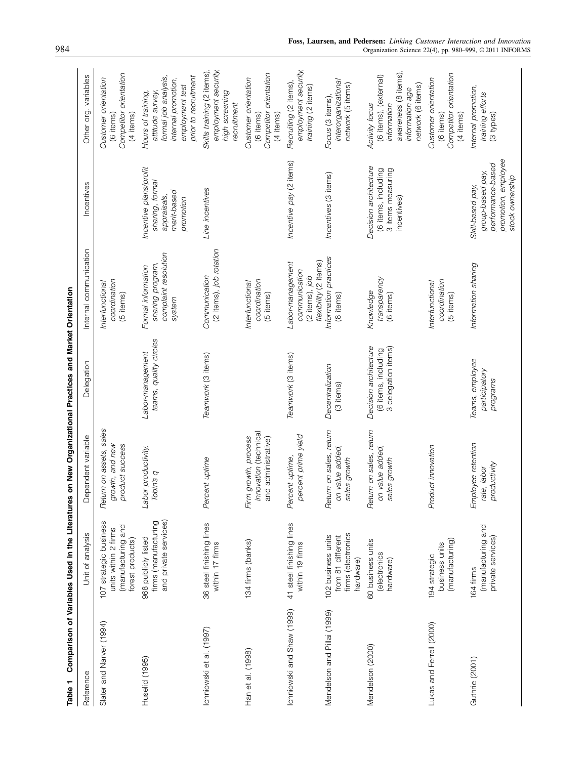| Table 1                     |                                                                                          | Comparison of Variables Used in the Literatures on New Organizational Practices and Market Orientation |                                                                     |                                                                              |                                                                                                     |                                                                                                                                  |
|-----------------------------|------------------------------------------------------------------------------------------|--------------------------------------------------------------------------------------------------------|---------------------------------------------------------------------|------------------------------------------------------------------------------|-----------------------------------------------------------------------------------------------------|----------------------------------------------------------------------------------------------------------------------------------|
| Reference                   | Unit of analysis                                                                         | Dependent variable                                                                                     | Delegation                                                          | Internal communication                                                       | Incentives                                                                                          | Other org. variables                                                                                                             |
| Slater and Narver (1994)    | 107 strategic business<br>(manufacturing and<br>units within 2 firms<br>forest products) | Return on assets, sales<br>growth, and new<br>product success                                          |                                                                     | coordination<br>Interfunctional<br>(5 items)                                 |                                                                                                     | Competitor orientation<br>Customer orientation<br>(4 items)<br>(6 items)                                                         |
| Huselid (1995)              | and private services)<br>firms (manufacturing<br>968 publicly listed                     | Labor productivity,<br>Tobin's q                                                                       | teams, quality circles<br>Labor-management                          | complaint resolution<br>sharing program,<br>Formal information<br>system     | Incentive plans/profit<br>sharing, formal<br>merit-based<br>appraisals,<br>promotion                | prior to recruitment<br>formal job analysis,<br>internal promotion,<br>employment test<br>Hours of training,<br>attitude survey, |
| chniowski et al. (1997)     | 36 steel finishing lines<br>within 17 firms                                              | Percent uptime                                                                                         | Teamwork (3 items)                                                  | (2 items), job rotation<br>Communication                                     | Line incentives                                                                                     | employment security,<br>Skills training (2 items),<br>high screening<br>recruitment                                              |
| Han et al. (1998)           | 134 firms (banks)                                                                        | innovation (technical<br>and administrative)<br>Firm growth, process                                   |                                                                     | coordination<br>Interfunctional<br>(5 items)                                 |                                                                                                     | Competitor orientation<br>Customer orientation<br>(6 items)<br>(4 items)                                                         |
| chniowski and Shaw (1999)   | 41 steel finishing lines<br>within 19 firms                                              | percent prime yield<br>Percent uptime,                                                                 | Teamwork (3 items)                                                  | flexibility (2 items)<br>Labor-management<br>communication<br>(2 items), job | Incentive pay (2 items)                                                                             | employment security,<br>Recruiting (2 items),<br>training (2 items)                                                              |
| Mendelson and Pillai (1999) | firms (electronics<br>102 business units<br>from 81 different<br>hardware)               | Return on sales, return<br>on value added,<br>sales growth                                             | Decentralization<br>(3 items)                                       | Information practices<br>(8 items)                                           | Incentives (3 items)                                                                                | interorganizational<br>network (5 items)<br>Focus (3 items).                                                                     |
| Mendelson (2000)            | 60 business units<br>(electronics<br>hardware)                                           | Return on sales, return<br>on value added,<br>sales growth                                             | Decision architecture<br>3 delegation items)<br>(6 items, including | transparency<br>Knowledge<br>(6 items)                                       | Decision architecture<br>(6 items, including<br>3 items measuring<br>incentives)                    | awareness (8 items),<br>(6 items), (external)<br>network (6 items)<br>information age<br>Activity focus<br>information           |
| Lukas and Ferrell (2000)    | (manufacturing)<br>business units<br>194 strategic                                       | Product innovation                                                                                     |                                                                     | coordination<br>Interfunctional<br>(5 items)                                 |                                                                                                     | Competitor orientation<br>Customer orientation<br>(6 items)<br>(4 items)                                                         |
| Guthrie (2001)              | (manufacturing and<br>private services)<br>164 firms                                     | Employee retention<br>productivity<br>rate, labor                                                      | Teams, employee<br>participatory<br>programs                        | Information sharing                                                          | promotion, employee<br>performance-based<br>group-based pay,<br>stock ownership<br>Skill-based pay, | Internal promotion,<br>training efforts<br>(3 types)                                                                             |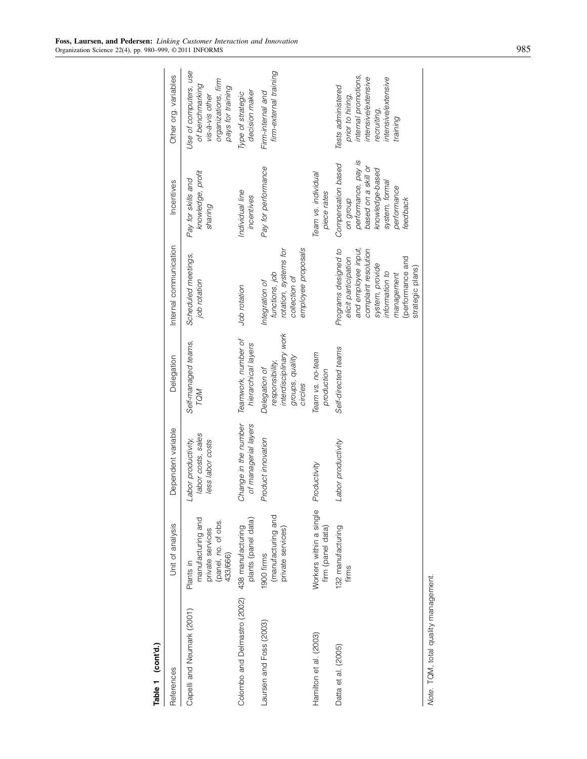| Table 1 (cont'd.)                              |                                                                                       |                                                              |                                                                                          |                                                                                                                                                                                        |                                                                                                                                              |                                                                                                                                         |
|------------------------------------------------|---------------------------------------------------------------------------------------|--------------------------------------------------------------|------------------------------------------------------------------------------------------|----------------------------------------------------------------------------------------------------------------------------------------------------------------------------------------|----------------------------------------------------------------------------------------------------------------------------------------------|-----------------------------------------------------------------------------------------------------------------------------------------|
| References                                     | Unit of analysis                                                                      | Dependent variable                                           | Delegation                                                                               | Internal communication                                                                                                                                                                 | Incentives                                                                                                                                   | Other org. variables                                                                                                                    |
| Capelli and Neumark (2001)                     | manufacturing and<br>(panel, no. of obs.<br>private services<br>433/666)<br>Plants in | labor costs, sales<br>abor productivity,<br>less labor costs | Self-managed teams,<br><b>NOV</b>                                                        | Scheduled meetings,<br>job rotation                                                                                                                                                    | knowledge, profit<br>Pay for skills and<br>sharing                                                                                           | Use of computers, use<br>organizations, firm<br>of benchmarking<br>pays for training<br>vis-à-vis other                                 |
| Colombo and Delmastro (2002) 438 manufacturing | plants (panel data)                                                                   | Change in the number<br>of managerial layers                 | Teamwork, number of<br>hierarchical layers                                               | Job rotation                                                                                                                                                                           | Individual line<br>incentives                                                                                                                | decision maker<br>Type of strategic                                                                                                     |
| aursen and Foss (2003)                         | (manufacturing and<br>private services)<br>1900 firms                                 | Product innovation                                           | interdisciplinary work<br>groups, quality<br>responsibility,<br>Delegation of<br>circles | rotation, systems for<br>employee proposals<br>functions, job<br>collection of<br>Integration of                                                                                       | Pay for performance                                                                                                                          | firm-external training<br>Firm-internal and                                                                                             |
| Hamilton et al. (2003)                         | Workers within a single<br>firm (panel data)                                          | Productivity                                                 | Team vs. no-team<br>production                                                           |                                                                                                                                                                                        | Team vs. individual<br>piece rates                                                                                                           |                                                                                                                                         |
| Datta et al. (2005)                            | 132 manufacturing<br>firms                                                            | Labor productivity                                           | Self-directed teams                                                                      | Programs designed to<br>and employee input,<br>complaint resolution<br>elicit participation<br>(performance and<br>system, provide<br>strategic plans)<br>information to<br>management | performance, pay is<br>Compensation based<br>based on a skill or<br>knowledge-based<br>system, formal<br>performance<br>an group<br>feedback | internal promotions,<br>intensive/extensive<br>intensive/extensive<br>Tests administered<br>prior to hiring,<br>recruiting,<br>training |
| Note. TQM, total quality management.           |                                                                                       |                                                              |                                                                                          |                                                                                                                                                                                        |                                                                                                                                              |                                                                                                                                         |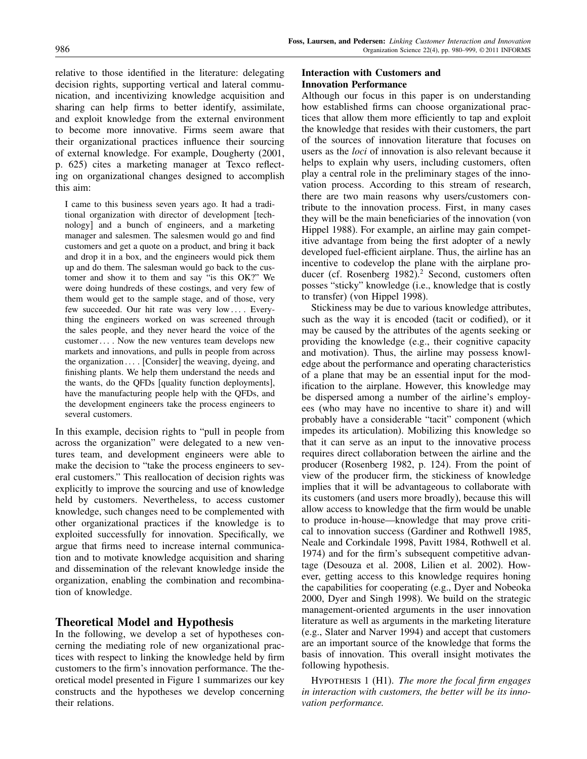relative to those identified in the literature: delegating decision rights, supporting vertical and lateral communication, and incentivizing knowledge acquisition and sharing can help firms to better identify, assimilate, and exploit knowledge from the external environment to become more innovative. Firms seem aware that their organizational practices influence their sourcing of external knowledge. For example, Dougherty (2001, p. 625) cites a marketing manager at Texco reflecting on organizational changes designed to accomplish this aim:

I came to this business seven years ago. It had a traditional organization with director of development [technology] and a bunch of engineers, and a marketing manager and salesmen. The salesmen would go and find customers and get a quote on a product, and bring it back and drop it in a box, and the engineers would pick them up and do them. The salesman would go back to the customer and show it to them and say "is this OK?" We were doing hundreds of these costings, and very few of them would get to the sample stage, and of those, very few succeeded. Our hit rate was very low.... Everything the engineers worked on was screened through the sales people, and they never heard the voice of the customer.... Now the new ventures team develops new markets and innovations, and pulls in people from across the organization ... . [Consider] the weaving, dyeing, and finishing plants. We help them understand the needs and the wants, do the QFDs [quality function deployments], have the manufacturing people help with the QFDs, and the development engineers take the process engineers to several customers.

In this example, decision rights to "pull in people from across the organization" were delegated to a new ventures team, and development engineers were able to make the decision to "take the process engineers to several customers." This reallocation of decision rights was explicitly to improve the sourcing and use of knowledge held by customers. Nevertheless, to access customer knowledge, such changes need to be complemented with other organizational practices if the knowledge is to exploited successfully for innovation. Specifically, we argue that firms need to increase internal communication and to motivate knowledge acquisition and sharing and dissemination of the relevant knowledge inside the organization, enabling the combination and recombination of knowledge.

# Theoretical Model and Hypothesis

In the following, we develop a set of hypotheses concerning the mediating role of new organizational practices with respect to linking the knowledge held by firm customers to the firm's innovation performance. The theoretical model presented in Figure 1 summarizes our key constructs and the hypotheses we develop concerning their relations.

#### Interaction with Customers and Innovation Performance

Although our focus in this paper is on understanding how established firms can choose organizational practices that allow them more efficiently to tap and exploit the knowledge that resides with their customers, the part of the sources of innovation literature that focuses on users as the loci of innovation is also relevant because it helps to explain why users, including customers, often play a central role in the preliminary stages of the innovation process. According to this stream of research, there are two main reasons why users/customers contribute to the innovation process. First, in many cases they will be the main beneficiaries of the innovation (von Hippel 1988). For example, an airline may gain competitive advantage from being the first adopter of a newly developed fuel-efficient airplane. Thus, the airline has an incentive to codevelop the plane with the airplane producer (cf. Rosenberg 1982).<sup>2</sup> Second, customers often posses "sticky" knowledge (i.e., knowledge that is costly to transfer) (von Hippel 1998).

Stickiness may be due to various knowledge attributes, such as the way it is encoded (tacit or codified), or it may be caused by the attributes of the agents seeking or providing the knowledge (e.g., their cognitive capacity and motivation). Thus, the airline may possess knowledge about the performance and operating characteristics of a plane that may be an essential input for the modification to the airplane. However, this knowledge may be dispersed among a number of the airline's employees (who may have no incentive to share it) and will probably have a considerable "tacit" component (which impedes its articulation). Mobilizing this knowledge so that it can serve as an input to the innovative process requires direct collaboration between the airline and the producer (Rosenberg 1982, p. 124). From the point of view of the producer firm, the stickiness of knowledge implies that it will be advantageous to collaborate with its customers (and users more broadly), because this will allow access to knowledge that the firm would be unable to produce in-house—knowledge that may prove critical to innovation success (Gardiner and Rothwell 1985, Neale and Corkindale 1998, Pavitt 1984, Rothwell et al. 1974) and for the firm's subsequent competitive advantage (Desouza et al. 2008, Lilien et al. 2002). However, getting access to this knowledge requires honing the capabilities for cooperating (e.g., Dyer and Nobeoka 2000, Dyer and Singh 1998). We build on the strategic management-oriented arguments in the user innovation literature as well as arguments in the marketing literature (e.g., Slater and Narver 1994) and accept that customers are an important source of the knowledge that forms the basis of innovation. This overall insight motivates the following hypothesis.

Hypothesis 1 (H1). The more the focal firm engages in interaction with customers, the better will be its innovation performance.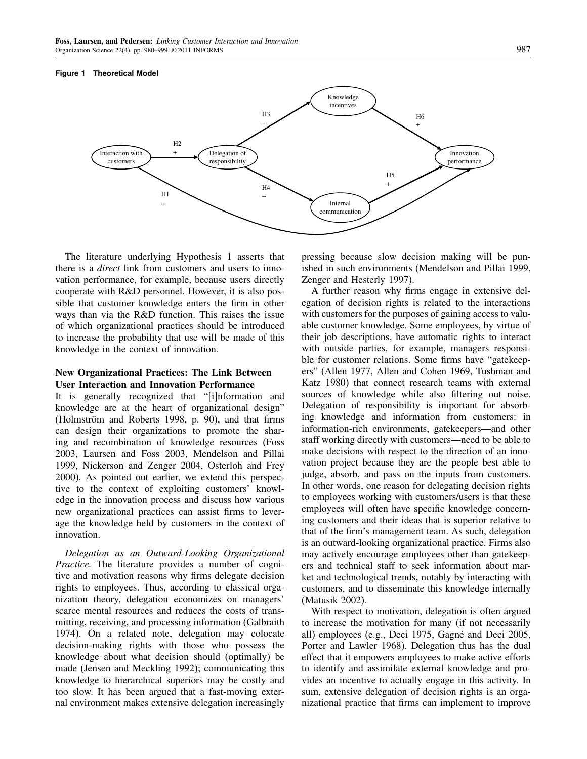#### Figure 1 Theoretical Model



The literature underlying Hypothesis 1 asserts that there is a direct link from customers and users to innovation performance, for example, because users directly cooperate with R&D personnel. However, it is also possible that customer knowledge enters the firm in other ways than via the R&D function. This raises the issue of which organizational practices should be introduced to increase the probability that use will be made of this knowledge in the context of innovation.

### New Organizational Practices: The Link Between User Interaction and Innovation Performance

It is generally recognized that "[i]nformation and knowledge are at the heart of organizational design" (Holmström and Roberts 1998, p. 90), and that firms can design their organizations to promote the sharing and recombination of knowledge resources (Foss 2003, Laursen and Foss 2003, Mendelson and Pillai 1999, Nickerson and Zenger 2004, Osterloh and Frey 2000). As pointed out earlier, we extend this perspective to the context of exploiting customers' knowledge in the innovation process and discuss how various new organizational practices can assist firms to leverage the knowledge held by customers in the context of innovation.

Delegation as an Outward-Looking Organizational Practice. The literature provides a number of cognitive and motivation reasons why firms delegate decision rights to employees. Thus, according to classical organization theory, delegation economizes on managers' scarce mental resources and reduces the costs of transmitting, receiving, and processing information (Galbraith 1974). On a related note, delegation may colocate decision-making rights with those who possess the knowledge about what decision should (optimally) be made (Jensen and Meckling 1992); communicating this knowledge to hierarchical superiors may be costly and too slow. It has been argued that a fast-moving external environment makes extensive delegation increasingly pressing because slow decision making will be punished in such environments (Mendelson and Pillai 1999, Zenger and Hesterly 1997).

A further reason why firms engage in extensive delegation of decision rights is related to the interactions with customers for the purposes of gaining access to valuable customer knowledge. Some employees, by virtue of their job descriptions, have automatic rights to interact with outside parties, for example, managers responsible for customer relations. Some firms have "gatekeepers" (Allen 1977, Allen and Cohen 1969, Tushman and Katz 1980) that connect research teams with external sources of knowledge while also filtering out noise. Delegation of responsibility is important for absorbing knowledge and information from customers: in information-rich environments, gatekeepers—and other staff working directly with customers—need to be able to make decisions with respect to the direction of an innovation project because they are the people best able to judge, absorb, and pass on the inputs from customers. In other words, one reason for delegating decision rights to employees working with customers/users is that these employees will often have specific knowledge concerning customers and their ideas that is superior relative to that of the firm's management team. As such, delegation is an outward-looking organizational practice. Firms also may actively encourage employees other than gatekeepers and technical staff to seek information about market and technological trends, notably by interacting with customers, and to disseminate this knowledge internally (Matusik 2002).

With respect to motivation, delegation is often argued to increase the motivation for many (if not necessarily all) employees (e.g., Deci 1975, Gagné and Deci 2005, Porter and Lawler 1968). Delegation thus has the dual effect that it empowers employees to make active efforts to identify and assimilate external knowledge and provides an incentive to actually engage in this activity. In sum, extensive delegation of decision rights is an organizational practice that firms can implement to improve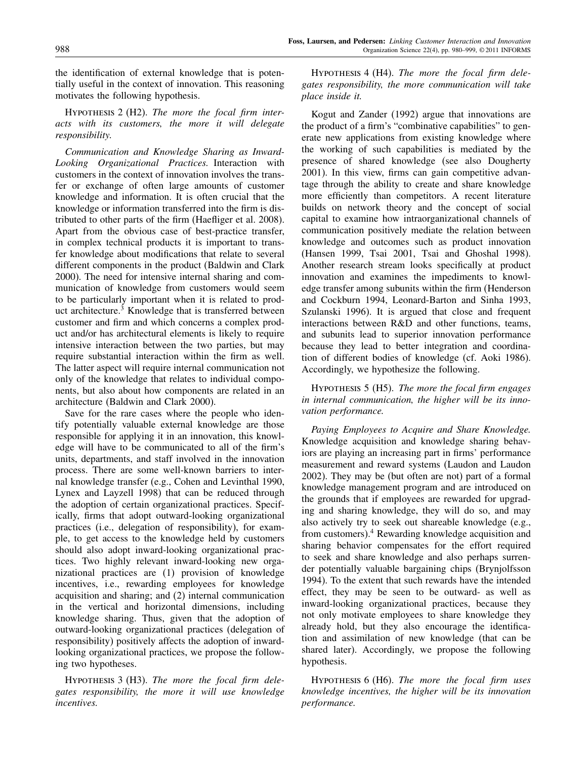the identification of external knowledge that is potentially useful in the context of innovation. This reasoning motivates the following hypothesis.

HYPOTHESIS 2 (H2). The more the focal firm interacts with its customers, the more it will delegate responsibility.

Communication and Knowledge Sharing as Inward-Looking Organizational Practices. Interaction with customers in the context of innovation involves the transfer or exchange of often large amounts of customer knowledge and information. It is often crucial that the knowledge or information transferred into the firm is distributed to other parts of the firm (Haefliger et al. 2008). Apart from the obvious case of best-practice transfer, in complex technical products it is important to transfer knowledge about modifications that relate to several different components in the product (Baldwin and Clark 2000). The need for intensive internal sharing and communication of knowledge from customers would seem to be particularly important when it is related to product architecture.<sup>3</sup> Knowledge that is transferred between customer and firm and which concerns a complex product and/or has architectural elements is likely to require intensive interaction between the two parties, but may require substantial interaction within the firm as well. The latter aspect will require internal communication not only of the knowledge that relates to individual components, but also about how components are related in an architecture (Baldwin and Clark 2000).

Save for the rare cases where the people who identify potentially valuable external knowledge are those responsible for applying it in an innovation, this knowledge will have to be communicated to all of the firm's units, departments, and staff involved in the innovation process. There are some well-known barriers to internal knowledge transfer (e.g., Cohen and Levinthal 1990, Lynex and Layzell 1998) that can be reduced through the adoption of certain organizational practices. Specifically, firms that adopt outward-looking organizational practices (i.e., delegation of responsibility), for example, to get access to the knowledge held by customers should also adopt inward-looking organizational practices. Two highly relevant inward-looking new organizational practices are (1) provision of knowledge incentives, i.e., rewarding employees for knowledge acquisition and sharing; and (2) internal communication in the vertical and horizontal dimensions, including knowledge sharing. Thus, given that the adoption of outward-looking organizational practices (delegation of responsibility) positively affects the adoption of inwardlooking organizational practices, we propose the following two hypotheses.

Hypothesis 3 (H3). The more the focal firm delegates responsibility, the more it will use knowledge incentives.

Hypothesis 4 (H4). The more the focal firm delegates responsibility, the more communication will take place inside it.

Kogut and Zander (1992) argue that innovations are the product of a firm's "combinative capabilities" to generate new applications from existing knowledge where the working of such capabilities is mediated by the presence of shared knowledge (see also Dougherty 2001). In this view, firms can gain competitive advantage through the ability to create and share knowledge more efficiently than competitors. A recent literature builds on network theory and the concept of social capital to examine how intraorganizational channels of communication positively mediate the relation between knowledge and outcomes such as product innovation (Hansen 1999, Tsai 2001, Tsai and Ghoshal 1998). Another research stream looks specifically at product innovation and examines the impediments to knowledge transfer among subunits within the firm (Henderson and Cockburn 1994, Leonard-Barton and Sinha 1993, Szulanski 1996). It is argued that close and frequent interactions between R&D and other functions, teams, and subunits lead to superior innovation performance because they lead to better integration and coordination of different bodies of knowledge (cf. Aoki 1986). Accordingly, we hypothesize the following.

Hypothesis 5 (H5). The more the focal firm engages in internal communication, the higher will be its innovation performance.

Paying Employees to Acquire and Share Knowledge. Knowledge acquisition and knowledge sharing behaviors are playing an increasing part in firms' performance measurement and reward systems (Laudon and Laudon 2002). They may be (but often are not) part of a formal knowledge management program and are introduced on the grounds that if employees are rewarded for upgrading and sharing knowledge, they will do so, and may also actively try to seek out shareable knowledge (e.g., from customers).<sup>4</sup> Rewarding knowledge acquisition and sharing behavior compensates for the effort required to seek and share knowledge and also perhaps surrender potentially valuable bargaining chips (Brynjolfsson 1994). To the extent that such rewards have the intended effect, they may be seen to be outward- as well as inward-looking organizational practices, because they not only motivate employees to share knowledge they already hold, but they also encourage the identification and assimilation of new knowledge (that can be shared later). Accordingly, we propose the following hypothesis.

Hypothesis 6 (H6). The more the focal firm uses knowledge incentives, the higher will be its innovation performance.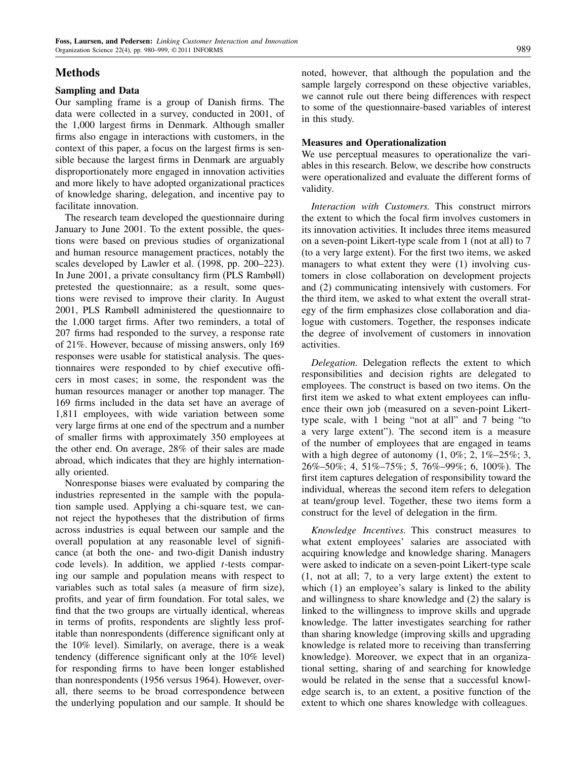# Methods

### Sampling and Data

Our sampling frame is a group of Danish firms. The data were collected in a survey, conducted in 2001, of the 1,000 largest firms in Denmark. Although smaller firms also engage in interactions with customers, in the context of this paper, a focus on the largest firms is sensible because the largest firms in Denmark are arguably disproportionately more engaged in innovation activities and more likely to have adopted organizational practices of knowledge sharing, delegation, and incentive pay to facilitate innovation.

The research team developed the questionnaire during January to June 2001. To the extent possible, the questions were based on previous studies of organizational and human resource management practices, notably the scales developed by Lawler et al. (1998, pp. 200–223). In June 2001, a private consultancy firm (PLS Rambøll) pretested the questionnaire; as a result, some questions were revised to improve their clarity. In August 2001, PLS Rambøll administered the questionnaire to the 1,000 target firms. After two reminders, a total of 207 firms had responded to the survey, a response rate of 21%. However, because of missing answers, only 169 responses were usable for statistical analysis. The questionnaires were responded to by chief executive officers in most cases; in some, the respondent was the human resources manager or another top manager. The 169 firms included in the data set have an average of 1,811 employees, with wide variation between some very large firms at one end of the spectrum and a number of smaller firms with approximately 350 employees at the other end. On average, 28% of their sales are made abroad, which indicates that they are highly internationally oriented.

Nonresponse biases were evaluated by comparing the industries represented in the sample with the population sample used. Applying a chi-square test, we cannot reject the hypotheses that the distribution of firms across industries is equal between our sample and the overall population at any reasonable level of significance (at both the one- and two-digit Danish industry code levels). In addition, we applied  $t$ -tests comparing our sample and population means with respect to variables such as total sales (a measure of firm size), profits, and year of firm foundation. For total sales, we find that the two groups are virtually identical, whereas in terms of profits, respondents are slightly less profitable than nonrespondents (difference significant only at the 10% level). Similarly, on average, there is a weak tendency (difference significant only at the 10% level) for responding firms to have been longer established than nonrespondents (1956 versus 1964). However, overall, there seems to be broad correspondence between the underlying population and our sample. It should be noted, however, that although the population and the sample largely correspond on these objective variables, we cannot rule out there being differences with respect to some of the questionnaire-based variables of interest in this study.

### Measures and Operationalization

We use perceptual measures to operationalize the variables in this research. Below, we describe how constructs were operationalized and evaluate the different forms of validity.

Interaction with Customers. This construct mirrors the extent to which the focal firm involves customers in its innovation activities. It includes three items measured on a seven-point Likert-type scale from 1 (not at all) to 7 (to a very large extent). For the first two items, we asked managers to what extent they were (1) involving customers in close collaboration on development projects and (2) communicating intensively with customers. For the third item, we asked to what extent the overall strategy of the firm emphasizes close collaboration and dialogue with customers. Together, the responses indicate the degree of involvement of customers in innovation activities.

Delegation. Delegation reflects the extent to which responsibilities and decision rights are delegated to employees. The construct is based on two items. On the first item we asked to what extent employees can influence their own job (measured on a seven-point Likerttype scale, with 1 being "not at all" and 7 being "to a very large extent"). The second item is a measure of the number of employees that are engaged in teams with a high degree of autonomy  $(1, 0\%; 2, 1\% - 25\%; 3,$ 26%–50%; 4, 51%–75%; 5, 76%–99%; 6, 100%). The first item captures delegation of responsibility toward the individual, whereas the second item refers to delegation at team/group level. Together, these two items form a construct for the level of delegation in the firm.

Knowledge Incentives. This construct measures to what extent employees' salaries are associated with acquiring knowledge and knowledge sharing. Managers were asked to indicate on a seven-point Likert-type scale (1, not at all; 7, to a very large extent) the extent to which (1) an employee's salary is linked to the ability and willingness to share knowledge and (2) the salary is linked to the willingness to improve skills and upgrade knowledge. The latter investigates searching for rather than sharing knowledge (improving skills and upgrading knowledge is related more to receiving than transferring knowledge). Moreover, we expect that in an organizational setting, sharing of and searching for knowledge would be related in the sense that a successful knowledge search is, to an extent, a positive function of the extent to which one shares knowledge with colleagues.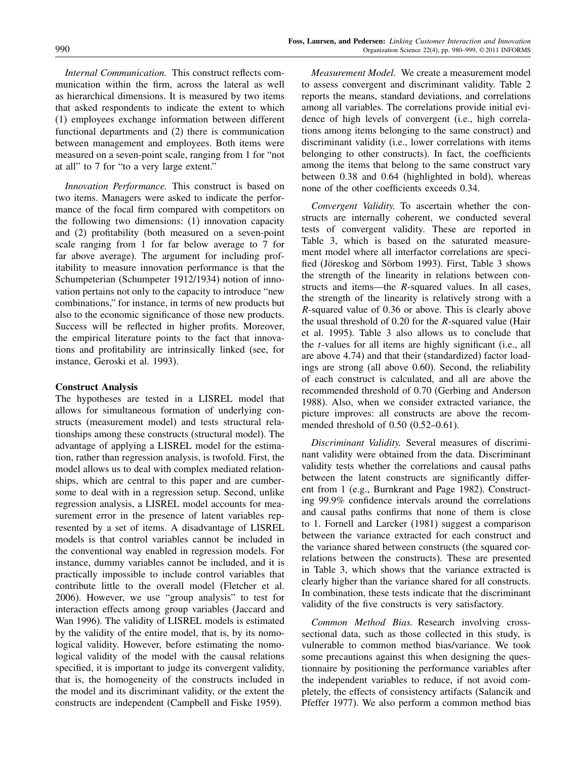Internal Communication. This construct reflects communication within the firm, across the lateral as well as hierarchical dimensions. It is measured by two items that asked respondents to indicate the extent to which (1) employees exchange information between different functional departments and (2) there is communication between management and employees. Both items were measured on a seven-point scale, ranging from 1 for "not at all" to 7 for "to a very large extent."

Innovation Performance. This construct is based on two items. Managers were asked to indicate the performance of the focal firm compared with competitors on the following two dimensions: (1) innovation capacity and (2) profitability (both measured on a seven-point scale ranging from 1 for far below average to 7 for far above average). The argument for including profitability to measure innovation performance is that the Schumpeterian (Schumpeter 1912/1934) notion of innovation pertains not only to the capacity to introduce "new combinations," for instance, in terms of new products but also to the economic significance of those new products. Success will be reflected in higher profits. Moreover, the empirical literature points to the fact that innovations and profitability are intrinsically linked (see, for instance, Geroski et al. 1993).

## Construct Analysis

The hypotheses are tested in a LISREL model that allows for simultaneous formation of underlying constructs (measurement model) and tests structural relationships among these constructs (structural model). The advantage of applying a LISREL model for the estimation, rather than regression analysis, is twofold. First, the model allows us to deal with complex mediated relationships, which are central to this paper and are cumbersome to deal with in a regression setup. Second, unlike regression analysis, a LISREL model accounts for measurement error in the presence of latent variables represented by a set of items. A disadvantage of LISREL models is that control variables cannot be included in the conventional way enabled in regression models. For instance, dummy variables cannot be included, and it is practically impossible to include control variables that contribute little to the overall model (Fletcher et al. 2006). However, we use "group analysis" to test for interaction effects among group variables (Jaccard and Wan 1996). The validity of LISREL models is estimated by the validity of the entire model, that is, by its nomological validity. However, before estimating the nomological validity of the model with the causal relations specified, it is important to judge its convergent validity, that is, the homogeneity of the constructs included in the model and its discriminant validity, or the extent the constructs are independent (Campbell and Fiske 1959).

Measurement Model. We create a measurement model to assess convergent and discriminant validity. Table 2 reports the means, standard deviations, and correlations among all variables. The correlations provide initial evidence of high levels of convergent (i.e., high correlations among items belonging to the same construct) and discriminant validity (i.e., lower correlations with items belonging to other constructs). In fact, the coefficients among the items that belong to the same construct vary between 0.38 and 0.64 (highlighted in bold), whereas none of the other coefficients exceeds 0.34.

Convergent Validity. To ascertain whether the constructs are internally coherent, we conducted several tests of convergent validity. These are reported in Table 3, which is based on the saturated measurement model where all interfactor correlations are specified (Jöreskog and Sörbom 1993). First, Table 3 shows the strength of the linearity in relations between constructs and items—the R-squared values. In all cases, the strength of the linearity is relatively strong with a R-squared value of 0.36 or above. This is clearly above the usual threshold of 0.20 for the R-squared value (Hair et al. 1995). Table 3 also allows us to conclude that the t-values for all items are highly significant (i.e., all are above 4.74) and that their (standardized) factor loadings are strong (all above 0.60). Second, the reliability of each construct is calculated, and all are above the recommended threshold of 0.70 (Gerbing and Anderson 1988). Also, when we consider extracted variance, the picture improves: all constructs are above the recommended threshold of 0.50 (0.52–0.61).

Discriminant Validity. Several measures of discriminant validity were obtained from the data. Discriminant validity tests whether the correlations and causal paths between the latent constructs are significantly different from 1 (e.g., Burnkrant and Page 1982). Constructing 99.9% confidence intervals around the correlations and causal paths confirms that none of them is close to 1. Fornell and Larcker (1981) suggest a comparison between the variance extracted for each construct and the variance shared between constructs (the squared correlations between the constructs). These are presented in Table 3, which shows that the variance extracted is clearly higher than the variance shared for all constructs. In combination, these tests indicate that the discriminant validity of the five constructs is very satisfactory.

Common Method Bias. Research involving crosssectional data, such as those collected in this study, is vulnerable to common method bias/variance. We took some precautions against this when designing the questionnaire by positioning the performance variables after the independent variables to reduce, if not avoid completely, the effects of consistency artifacts (Salancik and Pfeffer 1977). We also perform a common method bias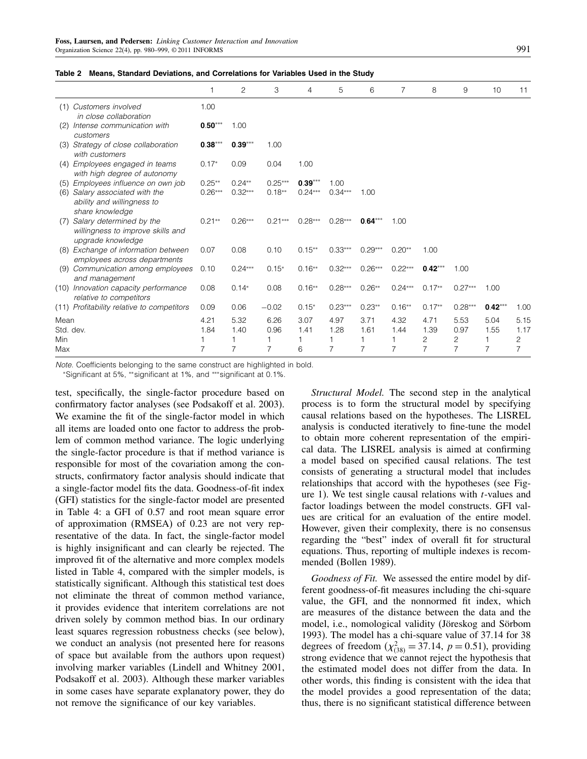|                    |                                                                                                               |                                | 2                              | 3                     | 4                      | 5                              | 6                              | 7                              | 8                                   | 9                                   | 10                | 11                                  |
|--------------------|---------------------------------------------------------------------------------------------------------------|--------------------------------|--------------------------------|-----------------------|------------------------|--------------------------------|--------------------------------|--------------------------------|-------------------------------------|-------------------------------------|-------------------|-------------------------------------|
| (1)                | Customers involved<br>in close collaboration                                                                  | 1.00                           |                                |                       |                        |                                |                                |                                |                                     |                                     |                   |                                     |
| (2)                | Intense communication with<br>customers                                                                       | $0.50***$                      | 1.00                           |                       |                        |                                |                                |                                |                                     |                                     |                   |                                     |
| (3)                | Strategy of close collaboration<br>with customers                                                             | $0.38***$                      | $0.39***$                      | 1.00                  |                        |                                |                                |                                |                                     |                                     |                   |                                     |
| (4)                | Employees engaged in teams<br>with high degree of autonomy                                                    | $0.17*$                        | 0.09                           | 0.04                  | 1.00                   |                                |                                |                                |                                     |                                     |                   |                                     |
| (5)<br>(6)         | Employees influence on own job<br>Salary associated with the<br>ability and willingness to<br>share knowledge | $0.25**$<br>$0.26***$          | $0.24**$<br>$0.32***$          | $0.25***$<br>$0.18**$ | $0.39***$<br>$0.24***$ | 1.00<br>$0.34***$              | 1.00                           |                                |                                     |                                     |                   |                                     |
| (7)                | Salary determined by the<br>willingness to improve skills and<br>upgrade knowledge                            | $0.21**$                       | $0.26***$                      | $0.21***$             | $0.28***$              | $0.28***$                      | $0.64***$                      | 1.00                           |                                     |                                     |                   |                                     |
| (8)                | Exchange of information between<br>employees across departments                                               | 0.07                           | 0.08                           | 0.10                  | $0.15**$               | $0.33***$                      | $0.29***$                      | $0.20**$                       | 1.00                                |                                     |                   |                                     |
| (9)                | Communication among employees<br>and management                                                               | 0.10                           | $0.24***$                      | $0.15*$               | $0.16**$               | $0.32***$                      | $0.26***$                      | $0.22***$                      | $0.42***$                           | 1.00                                |                   |                                     |
| (10)               | Innovation capacity performance<br>relative to competitors                                                    | 0.08                           | $0.14*$                        | 0.08                  | $0.16**$               | $0.28***$                      | $0.26**$                       | $0.24***$                      | $0.17**$                            | $0.27***$                           | 1.00              |                                     |
|                    | (11) Profitability relative to competitors                                                                    | 0.09                           | 0.06                           | $-0.02$               | $0.15*$                | $0.23***$                      | $0.23**$                       | $0.16**$                       | $0.17**$                            | $0.28***$                           | $0.42***$         | 1.00                                |
| Mean<br>Min<br>Max | Std. dev.                                                                                                     | 4.21<br>1.84<br>$\overline{7}$ | 5.32<br>1.40<br>$\overline{7}$ | 6.26<br>0.96<br>7     | 3.07<br>1.41<br>6      | 4.97<br>1.28<br>$\overline{7}$ | 3.71<br>1.61<br>$\overline{7}$ | 4.32<br>1.44<br>$\overline{7}$ | 4.71<br>1.39<br>2<br>$\overline{7}$ | 5.53<br>0.97<br>2<br>$\overline{7}$ | 5.04<br>1.55<br>7 | 5.15<br>1.17<br>2<br>$\overline{7}$ |

Table 2 Means, Standard Deviations, and Correlations for Variables Used in the Study

Note. Coefficients belonging to the same construct are highlighted in bold.

<sup>∗</sup>Significant at 5%, ∗∗significant at 1%, and ∗∗∗significant at 0.1%.

test, specifically, the single-factor procedure based on confirmatory factor analyses (see Podsakoff et al. 2003). We examine the fit of the single-factor model in which all items are loaded onto one factor to address the problem of common method variance. The logic underlying the single-factor procedure is that if method variance is responsible for most of the covariation among the constructs, confirmatory factor analysis should indicate that a single-factor model fits the data. Goodness-of-fit index (GFI) statistics for the single-factor model are presented in Table 4: a GFI of 0.57 and root mean square error of approximation (RMSEA) of 0.23 are not very representative of the data. In fact, the single-factor model is highly insignificant and can clearly be rejected. The improved fit of the alternative and more complex models listed in Table 4, compared with the simpler models, is statistically significant. Although this statistical test does not eliminate the threat of common method variance, it provides evidence that interitem correlations are not driven solely by common method bias. In our ordinary least squares regression robustness checks (see below), we conduct an analysis (not presented here for reasons of space but available from the authors upon request) involving marker variables (Lindell and Whitney 2001, Podsakoff et al. 2003). Although these marker variables in some cases have separate explanatory power, they do not remove the significance of our key variables.

Structural Model. The second step in the analytical process is to form the structural model by specifying causal relations based on the hypotheses. The LISREL analysis is conducted iteratively to fine-tune the model to obtain more coherent representation of the empirical data. The LISREL analysis is aimed at confirming a model based on specified causal relations. The test consists of generating a structural model that includes relationships that accord with the hypotheses (see Figure 1). We test single causal relations with  $t$ -values and factor loadings between the model constructs. GFI values are critical for an evaluation of the entire model. However, given their complexity, there is no consensus regarding the "best" index of overall fit for structural equations. Thus, reporting of multiple indexes is recommended (Bollen 1989).

Goodness of Fit. We assessed the entire model by different goodness-of-fit measures including the chi-square value, the GFI, and the nonnormed fit index, which are measures of the distance between the data and the model, i.e., nomological validity (Jöreskog and Sörbom 1993). The model has a chi-square value of 37.14 for 38 degrees of freedom  $(\chi^2_{(38)} = 37.14, p = 0.51)$ , providing strong evidence that we cannot reject the hypothesis that the estimated model does not differ from the data. In other words, this finding is consistent with the idea that the model provides a good representation of the data; thus, there is no significant statistical difference between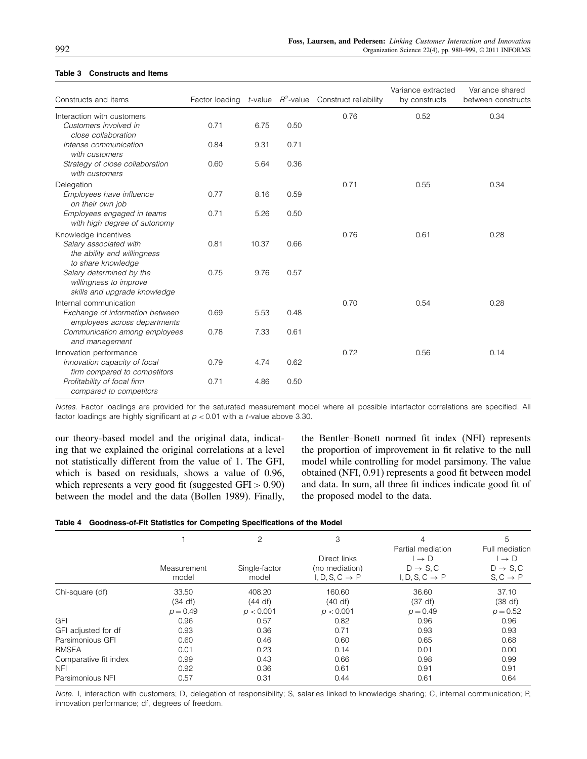| Constructs and items                                                               | Factor loading |       | <i>t</i> -value $R^2$ -value | Construct reliability | Variance extracted<br>by constructs | Variance shared<br>between constructs |
|------------------------------------------------------------------------------------|----------------|-------|------------------------------|-----------------------|-------------------------------------|---------------------------------------|
| Interaction with customers<br>Customers involved in                                | 0.71           | 6.75  | 0.50                         | 0.76                  | 0.52                                | 0.34                                  |
| close collaboration                                                                |                |       |                              |                       |                                     |                                       |
| Intense communication<br>with customers                                            | 0.84           | 9.31  | 0.71                         |                       |                                     |                                       |
| Strategy of close collaboration<br>with customers                                  | 0.60           | 5.64  | 0.36                         |                       |                                     |                                       |
| Delegation                                                                         |                |       |                              | 0.71                  | 0.55                                | 0.34                                  |
| Employees have influence<br>on their own job                                       | 0.77           | 8.16  | 0.59                         |                       |                                     |                                       |
| Employees engaged in teams<br>with high degree of autonomy                         | 0.71           | 5.26  | 0.50                         |                       |                                     |                                       |
| Knowledge incentives                                                               |                |       |                              | 0.76                  | 0.61                                | 0.28                                  |
| Salary associated with<br>the ability and willingness<br>to share knowledge        | 0.81           | 10.37 | 0.66                         |                       |                                     |                                       |
| Salary determined by the<br>willingness to improve<br>skills and upgrade knowledge | 0.75           | 9.76  | 0.57                         |                       |                                     |                                       |
| Internal communication                                                             |                |       |                              | 0.70                  | 0.54                                | 0.28                                  |
| Exchange of information between<br>employees across departments                    | 0.69           | 5.53  | 0.48                         |                       |                                     |                                       |
| Communication among employees<br>and management                                    | 0.78           | 7.33  | 0.61                         |                       |                                     |                                       |
| Innovation performance                                                             |                |       |                              | 0.72                  | 0.56                                | 0.14                                  |
| Innovation capacity of focal<br>firm compared to competitors                       | 0.79           | 4.74  | 0.62                         |                       |                                     |                                       |
| Profitability of focal firm<br>compared to competitors                             | 0.71           | 4.86  | 0.50                         |                       |                                     |                                       |

#### Table 3 Constructs and Items

Notes. Factor loadings are provided for the saturated measurement model where all possible interfactor correlations are specified. All factor loadings are highly significant at  $p < 0.01$  with a *t*-value above 3.30.

our theory-based model and the original data, indicating that we explained the original correlations at a level not statistically different from the value of 1. The GFI, which is based on residuals, shows a value of 0.96, which represents a very good fit (suggested  $GFI > 0.90$ ) between the model and the data (Bollen 1989). Finally, the Bentler–Bonett normed fit index (NFI) represents the proportion of improvement in fit relative to the null model while controlling for model parsimony. The value obtained (NFI, 0.91) represents a good fit between model and data. In sum, all three fit indices indicate good fit of the proposed model to the data.

|  | Table 4 Goodness-of-Fit Statistics for Competing Specifications of the Model |  |  |  |  |  |
|--|------------------------------------------------------------------------------|--|--|--|--|--|
|--|------------------------------------------------------------------------------|--|--|--|--|--|

|                       |             | 2             | 3                          | 4                          | 5                    |
|-----------------------|-------------|---------------|----------------------------|----------------------------|----------------------|
|                       |             |               |                            | Partial mediation          | Full mediation       |
|                       |             |               | Direct links               | $\rightarrow$ D            | $\rightarrow$ D      |
|                       | Measurement | Single-factor | (no mediation)             | $D \rightarrow S.C$        | $D \rightarrow S, C$ |
|                       | model       | model         | $I, D, S, C \rightarrow P$ | $I, D, S, C \rightarrow P$ | $S, C \rightarrow P$ |
| Chi-square (df)       | 33.50       | 408.20        | 160.60                     | 36.60                      | 37.10                |
|                       | (34 df)     | (44 df)       | (40 df)                    | (37 df)                    | (38 df)              |
|                       | $p = 0.49$  | p < 0.001     | p < 0.001                  | $p = 0.49$                 | $p = 0.52$           |
| GFI                   | 0.96        | 0.57          | 0.82                       | 0.96                       | 0.96                 |
| GFI adjusted for df   | 0.93        | 0.36          | 0.71                       | 0.93                       | 0.93                 |
| Parsimonious GFI      | 0.60        | 0.46          | 0.60                       | 0.65                       | 0.68                 |
| <b>RMSEA</b>          | 0.01        | 0.23          | 0.14                       | 0.01                       | 0.00                 |
| Comparative fit index | 0.99        | 0.43          | 0.66                       | 0.98                       | 0.99                 |
| <b>NFI</b>            | 0.92        | 0.36          | 0.61                       | 0.91                       | 0.91                 |
| Parsimonious NFI      | 0.57        | 0.31          | 0.44                       | 0.61                       | 0.64                 |

Note. I, interaction with customers; D, delegation of responsibility; S, salaries linked to knowledge sharing; C, internal communication; P, innovation performance; df, degrees of freedom.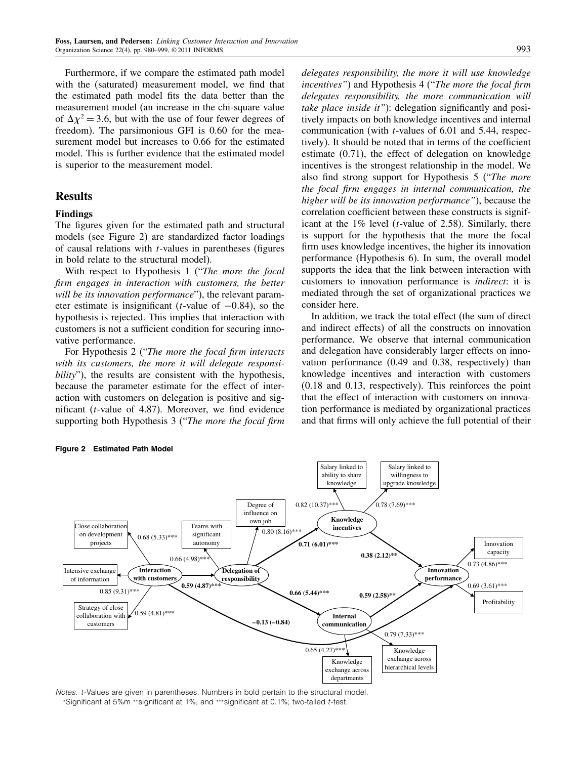Furthermore, if we compare the estimated path model with the (saturated) measurement model, we find that the estimated path model fits the data better than the measurement model (an increase in the chi-square value of  $\Delta \chi^2 = 3.6$ , but with the use of four fewer degrees of freedom). The parsimonious GFI is 0.60 for the measurement model but increases to 0.66 for the estimated model. This is further evidence that the estimated model is superior to the measurement model.

# Results

#### Findings

The figures given for the estimated path and structural models (see Figure 2) are standardized factor loadings of causal relations with  $t$ -values in parentheses (figures in bold relate to the structural model).

With respect to Hypothesis 1 ("The more the focal firm engages in interaction with customers, the better will be its innovation performance"), the relevant parameter estimate is insignificant (t-value of  $-0.84$ ), so the hypothesis is rejected. This implies that interaction with customers is not a sufficient condition for securing innovative performance.

For Hypothesis 2 ("The more the focal firm interacts with its customers, the more it will delegate responsibility"), the results are consistent with the hypothesis, because the parameter estimate for the effect of interaction with customers on delegation is positive and significant (t-value of 4.87). Moreover, we find evidence supporting both Hypothesis 3 ("The more the focal firm delegates responsibility, the more it will use knowledge incentives") and Hypothesis 4 ("The more the focal firm delegates responsibility, the more communication will take place inside it"): delegation significantly and positively impacts on both knowledge incentives and internal communication (with t-values of 6.01 and 5.44, respectively). It should be noted that in terms of the coefficient estimate (0.71), the effect of delegation on knowledge incentives is the strongest relationship in the model. We also find strong support for Hypothesis 5 ("The more the focal firm engages in internal communication, the higher will be its innovation performance"), because the correlation coefficient between these constructs is significant at the  $1\%$  level (*t*-value of 2.58). Similarly, there is support for the hypothesis that the more the focal firm uses knowledge incentives, the higher its innovation performance (Hypothesis 6). In sum, the overall model supports the idea that the link between interaction with customers to innovation performance is indirect: it is mediated through the set of organizational practices we consider here.

In addition, we track the total effect (the sum of direct and indirect effects) of all the constructs on innovation performance. We observe that internal communication and delegation have considerably larger effects on innovation performance (0.49 and 0.38, respectively) than knowledge incentives and interaction with customers (0.18 and 0.13, respectively). This reinforces the point that the effect of interaction with customers on innovation performance is mediated by organizational practices and that firms will only achieve the full potential of their



Notes. t-Values are given in parentheses. Numbers in bold pertain to the structural model. <sup>∗</sup>Significant at 5%m ∗∗significant at 1%, and ∗∗∗significant at 0.1%; two-tailed t-test.

#### Figure 2 Estimated Path Model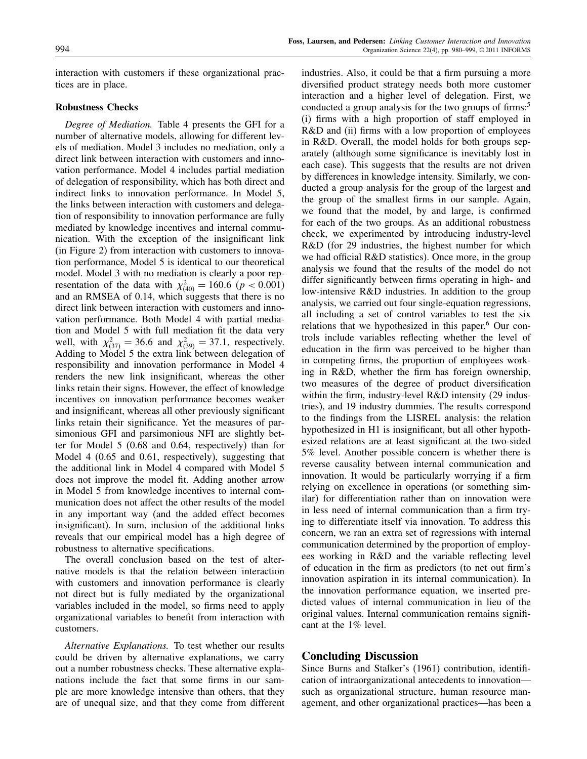interaction with customers if these organizational practices are in place.

#### Robustness Checks

Degree of Mediation. Table 4 presents the GFI for a number of alternative models, allowing for different levels of mediation. Model 3 includes no mediation, only a direct link between interaction with customers and innovation performance. Model 4 includes partial mediation of delegation of responsibility, which has both direct and indirect links to innovation performance. In Model 5, the links between interaction with customers and delegation of responsibility to innovation performance are fully mediated by knowledge incentives and internal communication. With the exception of the insignificant link (in Figure 2) from interaction with customers to innovation performance, Model 5 is identical to our theoretical model. Model 3 with no mediation is clearly a poor representation of the data with  $\chi^{2}_{(40)} = 160.6$  ( $p < 0.001$ ) and an RMSEA of 0.14, which suggests that there is no direct link between interaction with customers and innovation performance. Both Model 4 with partial mediation and Model 5 with full mediation fit the data very well, with  $\chi^2_{(37)} = 36.6$  and  $\chi^2_{(39)} = 37.1$ , respectively. Adding to Model 5 the extra link between delegation of responsibility and innovation performance in Model 4 renders the new link insignificant, whereas the other links retain their signs. However, the effect of knowledge incentives on innovation performance becomes weaker and insignificant, whereas all other previously significant links retain their significance. Yet the measures of parsimonious GFI and parsimonious NFI are slightly better for Model 5 (0.68 and 0.64, respectively) than for Model 4 (0.65 and 0.61, respectively), suggesting that the additional link in Model 4 compared with Model 5 does not improve the model fit. Adding another arrow in Model 5 from knowledge incentives to internal communication does not affect the other results of the model in any important way (and the added effect becomes insignificant). In sum, inclusion of the additional links reveals that our empirical model has a high degree of robustness to alternative specifications.

The overall conclusion based on the test of alternative models is that the relation between interaction with customers and innovation performance is clearly not direct but is fully mediated by the organizational variables included in the model, so firms need to apply organizational variables to benefit from interaction with customers.

Alternative Explanations. To test whether our results could be driven by alternative explanations, we carry out a number robustness checks. These alternative explanations include the fact that some firms in our sample are more knowledge intensive than others, that they are of unequal size, and that they come from different industries. Also, it could be that a firm pursuing a more diversified product strategy needs both more customer interaction and a higher level of delegation. First, we conducted a group analysis for the two groups of firms:<sup>5</sup> (i) firms with a high proportion of staff employed in R&D and (ii) firms with a low proportion of employees in R&D. Overall, the model holds for both groups separately (although some significance is inevitably lost in each case). This suggests that the results are not driven by differences in knowledge intensity. Similarly, we conducted a group analysis for the group of the largest and the group of the smallest firms in our sample. Again, we found that the model, by and large, is confirmed for each of the two groups. As an additional robustness check, we experimented by introducing industry-level R&D (for 29 industries, the highest number for which we had official R&D statistics). Once more, in the group analysis we found that the results of the model do not differ significantly between firms operating in high- and low-intensive R&D industries. In addition to the group analysis, we carried out four single-equation regressions, all including a set of control variables to test the six relations that we hypothesized in this paper. $6$  Our controls include variables reflecting whether the level of education in the firm was perceived to be higher than in competing firms, the proportion of employees working in R&D, whether the firm has foreign ownership, two measures of the degree of product diversification within the firm, industry-level R&D intensity (29 industries), and 19 industry dummies. The results correspond to the findings from the LISREL analysis: the relation hypothesized in H1 is insignificant, but all other hypothesized relations are at least significant at the two-sided 5% level. Another possible concern is whether there is reverse causality between internal communication and innovation. It would be particularly worrying if a firm relying on excellence in operations (or something similar) for differentiation rather than on innovation were in less need of internal communication than a firm trying to differentiate itself via innovation. To address this concern, we ran an extra set of regressions with internal communication determined by the proportion of employees working in R&D and the variable reflecting level of education in the firm as predictors (to net out firm's innovation aspiration in its internal communication). In the innovation performance equation, we inserted predicted values of internal communication in lieu of the original values. Internal communication remains significant at the 1% level.

## Concluding Discussion

Since Burns and Stalker's (1961) contribution, identification of intraorganizational antecedents to innovation such as organizational structure, human resource management, and other organizational practices—has been a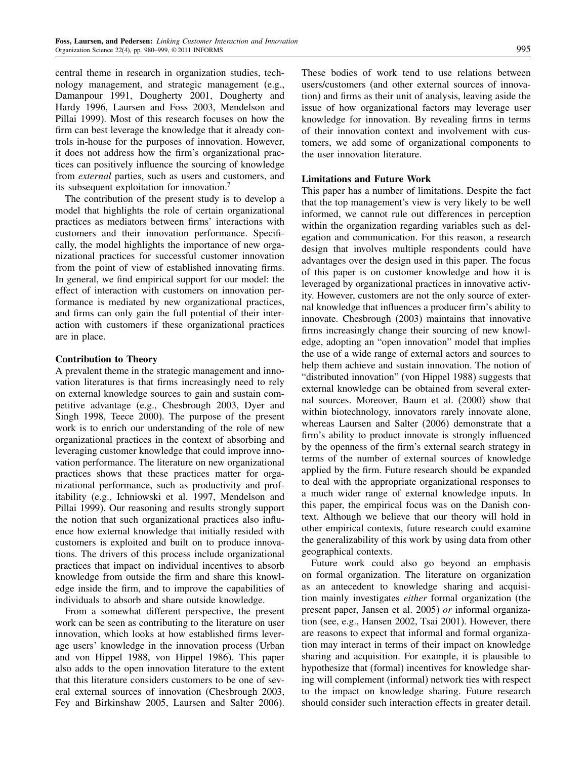central theme in research in organization studies, technology management, and strategic management (e.g., Damanpour 1991, Dougherty 2001, Dougherty and Hardy 1996, Laursen and Foss 2003, Mendelson and Pillai 1999). Most of this research focuses on how the firm can best leverage the knowledge that it already controls in-house for the purposes of innovation. However, it does not address how the firm's organizational practices can positively influence the sourcing of knowledge from external parties, such as users and customers, and its subsequent exploitation for innovation.<sup>7</sup>

The contribution of the present study is to develop a model that highlights the role of certain organizational practices as mediators between firms' interactions with customers and their innovation performance. Specifically, the model highlights the importance of new organizational practices for successful customer innovation from the point of view of established innovating firms. In general, we find empirical support for our model: the effect of interaction with customers on innovation performance is mediated by new organizational practices, and firms can only gain the full potential of their interaction with customers if these organizational practices are in place.

#### Contribution to Theory

A prevalent theme in the strategic management and innovation literatures is that firms increasingly need to rely on external knowledge sources to gain and sustain competitive advantage (e.g., Chesbrough 2003, Dyer and Singh 1998, Teece 2000). The purpose of the present work is to enrich our understanding of the role of new organizational practices in the context of absorbing and leveraging customer knowledge that could improve innovation performance. The literature on new organizational practices shows that these practices matter for organizational performance, such as productivity and profitability (e.g., Ichniowski et al. 1997, Mendelson and Pillai 1999). Our reasoning and results strongly support the notion that such organizational practices also influence how external knowledge that initially resided with customers is exploited and built on to produce innovations. The drivers of this process include organizational practices that impact on individual incentives to absorb knowledge from outside the firm and share this knowledge inside the firm, and to improve the capabilities of individuals to absorb and share outside knowledge.

From a somewhat different perspective, the present work can be seen as contributing to the literature on user innovation, which looks at how established firms leverage users' knowledge in the innovation process (Urban and von Hippel 1988, von Hippel 1986). This paper also adds to the open innovation literature to the extent that this literature considers customers to be one of several external sources of innovation (Chesbrough 2003, Fey and Birkinshaw 2005, Laursen and Salter 2006). These bodies of work tend to use relations between users/customers (and other external sources of innovation) and firms as their unit of analysis, leaving aside the issue of how organizational factors may leverage user knowledge for innovation. By revealing firms in terms of their innovation context and involvement with customers, we add some of organizational components to the user innovation literature.

### Limitations and Future Work

This paper has a number of limitations. Despite the fact that the top management's view is very likely to be well informed, we cannot rule out differences in perception within the organization regarding variables such as delegation and communication. For this reason, a research design that involves multiple respondents could have advantages over the design used in this paper. The focus of this paper is on customer knowledge and how it is leveraged by organizational practices in innovative activity. However, customers are not the only source of external knowledge that influences a producer firm's ability to innovate. Chesbrough (2003) maintains that innovative firms increasingly change their sourcing of new knowledge, adopting an "open innovation" model that implies the use of a wide range of external actors and sources to help them achieve and sustain innovation. The notion of "distributed innovation" (von Hippel 1988) suggests that external knowledge can be obtained from several external sources. Moreover, Baum et al. (2000) show that within biotechnology, innovators rarely innovate alone, whereas Laursen and Salter (2006) demonstrate that a firm's ability to product innovate is strongly influenced by the openness of the firm's external search strategy in terms of the number of external sources of knowledge applied by the firm. Future research should be expanded to deal with the appropriate organizational responses to a much wider range of external knowledge inputs. In this paper, the empirical focus was on the Danish context. Although we believe that our theory will hold in other empirical contexts, future research could examine the generalizability of this work by using data from other geographical contexts.

Future work could also go beyond an emphasis on formal organization. The literature on organization as an antecedent to knowledge sharing and acquisition mainly investigates either formal organization (the present paper, Jansen et al. 2005) or informal organization (see, e.g., Hansen 2002, Tsai 2001). However, there are reasons to expect that informal and formal organization may interact in terms of their impact on knowledge sharing and acquisition. For example, it is plausible to hypothesize that (formal) incentives for knowledge sharing will complement (informal) network ties with respect to the impact on knowledge sharing. Future research should consider such interaction effects in greater detail.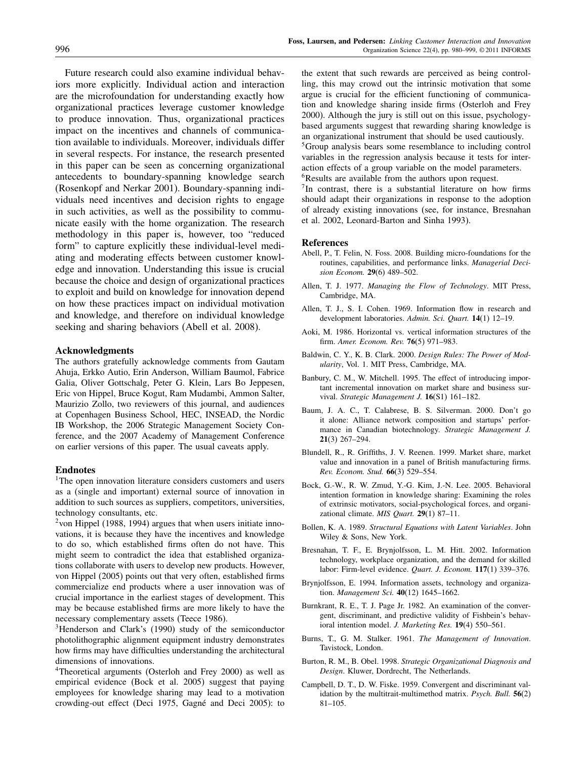Future research could also examine individual behaviors more explicitly. Individual action and interaction are the microfoundation for understanding exactly how organizational practices leverage customer knowledge to produce innovation. Thus, organizational practices impact on the incentives and channels of communication available to individuals. Moreover, individuals differ in several respects. For instance, the research presented in this paper can be seen as concerning organizational antecedents to boundary-spanning knowledge search (Rosenkopf and Nerkar 2001). Boundary-spanning individuals need incentives and decision rights to engage in such activities, as well as the possibility to communicate easily with the home organization. The research methodology in this paper is, however, too "reduced form" to capture explicitly these individual-level mediating and moderating effects between customer knowledge and innovation. Understanding this issue is crucial because the choice and design of organizational practices to exploit and build on knowledge for innovation depend on how these practices impact on individual motivation and knowledge, and therefore on individual knowledge seeking and sharing behaviors (Abell et al. 2008).

#### Acknowledgments

The authors gratefully acknowledge comments from Gautam Ahuja, Erkko Autio, Erin Anderson, William Baumol, Fabrice Galia, Oliver Gottschalg, Peter G. Klein, Lars Bo Jeppesen, Eric von Hippel, Bruce Kogut, Ram Mudambi, Ammon Salter, Maurizio Zollo, two reviewers of this journal, and audiences at Copenhagen Business School, HEC, INSEAD, the Nordic IB Workshop, the 2006 Strategic Management Society Conference, and the 2007 Academy of Management Conference on earlier versions of this paper. The usual caveats apply.

#### Endnotes

<sup>1</sup>The open innovation literature considers customers and users as a (single and important) external source of innovation in addition to such sources as suppliers, competitors, universities, technology consultants, etc.

 $2$ von Hippel (1988, 1994) argues that when users initiate innovations, it is because they have the incentives and knowledge to do so, which established firms often do not have. This might seem to contradict the idea that established organizations collaborate with users to develop new products. However, von Hippel (2005) points out that very often, established firms commercialize end products where a user innovation was of crucial importance in the earliest stages of development. This may be because established firms are more likely to have the necessary complementary assets (Teece 1986).

<sup>3</sup>Henderson and Clark's (1990) study of the semiconductor photolithographic alignment equipment industry demonstrates how firms may have difficulties understanding the architectural dimensions of innovations.

<sup>4</sup>Theoretical arguments (Osterloh and Frey 2000) as well as empirical evidence (Bock et al. 2005) suggest that paying employees for knowledge sharing may lead to a motivation crowding-out effect (Deci 1975, Gagné and Deci 2005): to the extent that such rewards are perceived as being controlling, this may crowd out the intrinsic motivation that some argue is crucial for the efficient functioning of communication and knowledge sharing inside firms (Osterloh and Frey 2000). Although the jury is still out on this issue, psychologybased arguments suggest that rewarding sharing knowledge is an organizational instrument that should be used cautiously.

<sup>5</sup>Group analysis bears some resemblance to including control variables in the regression analysis because it tests for interaction effects of a group variable on the model parameters. <sup>6</sup>Results are available from the authors upon request.

<sup>7</sup>In contrast, there is a substantial literature on how firms should adapt their organizations in response to the adoption of already existing innovations (see, for instance, Bresnahan et al. 2002, Leonard-Barton and Sinha 1993).

#### References

- Abell, P., T. Felin, N. Foss. 2008. Building micro-foundations for the routines, capabilities, and performance links. Managerial Decision Econom. 29(6) 489-502.
- Allen, T. J. 1977. Managing the Flow of Technology. MIT Press, Cambridge, MA.
- Allen, T. J., S. I. Cohen. 1969. Information flow in research and development laboratories. Admin. Sci. Quart. 14(1) 12–19.
- Aoki, M. 1986. Horizontal vs. vertical information structures of the firm. Amer. Econom. Rev. 76(5) 971–983.
- Baldwin, C. Y., K. B. Clark. 2000. Design Rules: The Power of Modularity, Vol. 1. MIT Press, Cambridge, MA.
- Banbury, C. M., W. Mitchell. 1995. The effect of introducing important incremental innovation on market share and business survival. Strategic Management J. 16(S1) 161–182.
- Baum, J. A. C., T. Calabrese, B. S. Silverman. 2000. Don't go it alone: Alliance network composition and startups' performance in Canadian biotechnology. Strategic Management J. 21(3) 267–294.
- Blundell, R., R. Griffiths, J. V. Reenen. 1999. Market share, market value and innovation in a panel of British manufacturing firms. Rev. Econom. Stud. 66(3) 529–554.
- Bock, G.-W., R. W. Zmud, Y.-G. Kim, J.-N. Lee. 2005. Behavioral intention formation in knowledge sharing: Examining the roles of extrinsic motivators, social-psychological forces, and organizational climate. MIS Quart. 29(1) 87-11.
- Bollen, K. A. 1989. Structural Equations with Latent Variables. John Wiley & Sons, New York.
- Bresnahan, T. F., E. Brynjolfsson, L. M. Hitt. 2002. Information technology, workplace organization, and the demand for skilled labor: Firm-level evidence. Quart. J. Econom. 117(1) 339–376.
- Brynjolfsson, E. 1994. Information assets, technology and organization. Management Sci. 40(12) 1645–1662.
- Burnkrant, R. E., T. J. Page Jr. 1982. An examination of the convergent, discriminant, and predictive validity of Fishbein's behavioral intention model. J. Marketing Res. 19(4) 550–561.
- Burns, T., G. M. Stalker. 1961. The Management of Innovation. Tavistock, London.
- Burton, R. M., B. Obel. 1998. Strategic Organizational Diagnosis and Design. Kluwer, Dordrecht, The Netherlands.
- Campbell, D. T., D. W. Fiske. 1959. Convergent and discriminant validation by the multitrait-multimethod matrix. Psych. Bull.  $56(2)$ 81–105.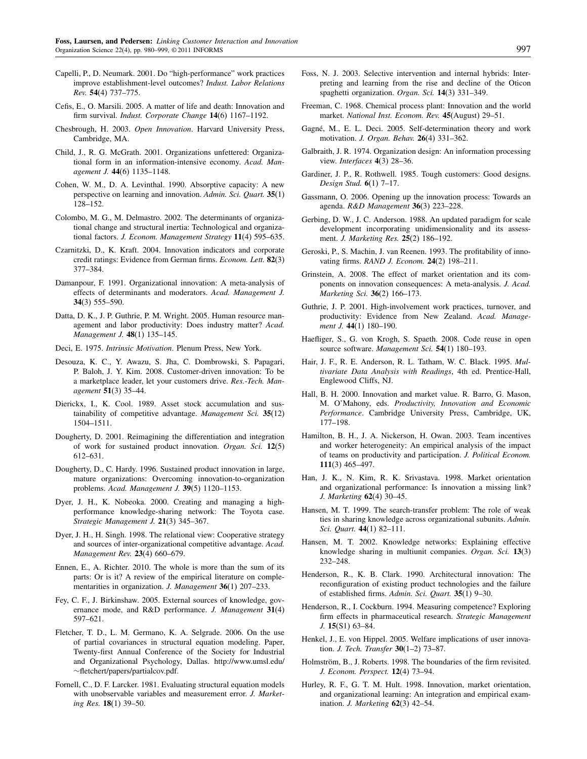- Capelli, P., D. Neumark. 2001. Do "high-performance" work practices improve establishment-level outcomes? Indust. Labor Relations Rev. 54(4) 737–775.
- Cefis, E., O. Marsili. 2005. A matter of life and death: Innovation and firm survival. Indust. Corporate Change 14(6) 1167-1192.
- Chesbrough, H. 2003. Open Innovation. Harvard University Press, Cambridge, MA.
- Child, J., R. G. McGrath. 2001. Organizations unfettered: Organizational form in an information-intensive economy. Acad. Management J. 44(6) 1135–1148.
- Cohen, W. M., D. A. Levinthal. 1990. Absorptive capacity: A new perspective on learning and innovation. Admin. Sci. Quart. 35(1) 128–152.
- Colombo, M. G., M. Delmastro. 2002. The determinants of organizational change and structural inertia: Technological and organizational factors. J. Econom. Management Strategy 11(4) 595-635.
- Czarnitzki, D., K. Kraft. 2004. Innovation indicators and corporate credit ratings: Evidence from German firms. Econom. Lett. 82(3) 377–384.
- Damanpour, F. 1991. Organizational innovation: A meta-analysis of effects of determinants and moderators. Acad. Management J. 34(3) 555–590.
- Datta, D. K., J. P. Guthrie, P. M. Wright. 2005. Human resource management and labor productivity: Does industry matter? Acad. Management J. 48(1) 135–145.
- Deci, E. 1975. Intrinsic Motivation. Plenum Press, New York.
- Desouza, K. C., Y. Awazu, S. Jha, C. Dombrowski, S. Papagari, P. Baloh, J. Y. Kim. 2008. Customer-driven innovation: To be a marketplace leader, let your customers drive. Res.-Tech. Management 51(3) 35–44.
- Dierickx, I., K. Cool. 1989. Asset stock accumulation and sustainability of competitive advantage. Management Sci. 35(12) 1504–1511.
- Dougherty, D. 2001. Reimagining the differentiation and integration of work for sustained product innovation. Organ. Sci. 12(5) 612–631.
- Dougherty, D., C. Hardy. 1996. Sustained product innovation in large, mature organizations: Overcoming innovation-to-organization problems. Acad. Management J. 39(5) 1120–1153.
- Dyer, J. H., K. Nobeoka. 2000. Creating and managing a highperformance knowledge-sharing network: The Toyota case. Strategic Management J. 21(3) 345–367.
- Dyer, J. H., H. Singh. 1998. The relational view: Cooperative strategy and sources of inter-organizational competitive advantage. Acad. Management Rev. 23(4) 660–679.
- Ennen, E., A. Richter. 2010. The whole is more than the sum of its parts: Or is it? A review of the empirical literature on complementarities in organization. *J. Management* **36**(1) 207–233.
- Fey, C. F., J. Birkinshaw. 2005. External sources of knowledge, governance mode, and R&D performance. *J. Management* 31(4) 597–621.
- Fletcher, T. D., L. M. Germano, K. A. Selgrade. 2006. On the use of partial covariances in structural equation modeling. Paper, Twenty-first Annual Conference of the Society for Industrial and Organizational Psychology, Dallas. http://www.umsl.edu/ ∼fletchert/papers/partialcov.pdf.
- Fornell, C., D. F. Larcker. 1981. Evaluating structural equation models with unobservable variables and measurement error. J. Marketing Res. 18(1) 39–50.
- Foss, N. J. 2003. Selective intervention and internal hybrids: Interpreting and learning from the rise and decline of the Oticon spaghetti organization. Organ. Sci. 14(3) 331-349.
- Freeman, C. 1968. Chemical process plant: Innovation and the world market. National Inst. Econom. Rev. 45(August) 29–51.
- Gagné, M., E. L. Deci. 2005. Self-determination theory and work motivation. J. Organ. Behav. 26(4) 331–362.
- Galbraith, J. R. 1974. Organization design: An information processing view. Interfaces 4(3) 28–36.
- Gardiner, J. P., R. Rothwell. 1985. Tough customers: Good designs. Design Stud. 6(1) 7–17.
- Gassmann, O. 2006. Opening up the innovation process: Towards an agenda. R&D Management 36(3) 223–228.
- Gerbing, D. W., J. C. Anderson. 1988. An updated paradigm for scale development incorporating unidimensionality and its assessment. J. Marketing Res. 25(2) 186–192.
- Geroski, P., S. Machin, J. van Reenen. 1993. The profitability of innovating firms. RAND J. Econom. 24(2) 198–211.
- Grinstein, A. 2008. The effect of market orientation and its components on innovation consequences: A meta-analysis. J. Acad. Marketing Sci. 36(2) 166–173.
- Guthrie, J. P. 2001. High-involvement work practices, turnover, and productivity: Evidence from New Zealand. Acad. Management J. 44(1) 180-190.
- Haefliger, S., G. von Krogh, S. Spaeth. 2008. Code reuse in open source software. Management Sci. 54(1) 180-193.
- Hair, J. F., R. E. Anderson, R. L. Tatham, W. C. Black. 1995. Multivariate Data Analysis with Readings, 4th ed. Prentice-Hall, Englewood Cliffs, NJ.
- Hall, B. H. 2000. Innovation and market value. R. Barro, G. Mason, M. O'Mahony, eds. Productivity, Innovation and Economic Performance. Cambridge University Press, Cambridge, UK, 177–198.
- Hamilton, B. H., J. A. Nickerson, H. Owan. 2003. Team incentives and worker heterogeneity: An empirical analysis of the impact of teams on productivity and participation. J. Political Econom. 111(3) 465–497.
- Han, J. K., N. Kim, R. K. Srivastava. 1998. Market orientation and organizational performance: Is innovation a missing link? J. Marketing 62(4) 30–45.
- Hansen, M. T. 1999. The search-transfer problem: The role of weak ties in sharing knowledge across organizational subunits. Admin. Sci. Quart. 44(1) 82–111.
- Hansen, M. T. 2002. Knowledge networks: Explaining effective knowledge sharing in multiunit companies. Organ. Sci. 13(3) 232–248.
- Henderson, R., K. B. Clark. 1990. Architectural innovation: The reconfiguration of existing product technologies and the failure of established firms. Admin. Sci. Quart. 35(1) 9–30.
- Henderson, R., I. Cockburn. 1994. Measuring competence? Exploring firm effects in pharmaceutical research. Strategic Management J. 15(S1) 63–84.
- Henkel, J., E. von Hippel. 2005. Welfare implications of user innovation. J. Tech. Transfer 30(1–2) 73–87.
- Holmström, B., J. Roberts. 1998. The boundaries of the firm revisited. J. Econom. Perspect. 12(4) 73–94.
- Hurley, R. F., G. T. M. Hult. 1998. Innovation, market orientation, and organizational learning: An integration and empirical examination. J. Marketing 62(3) 42–54.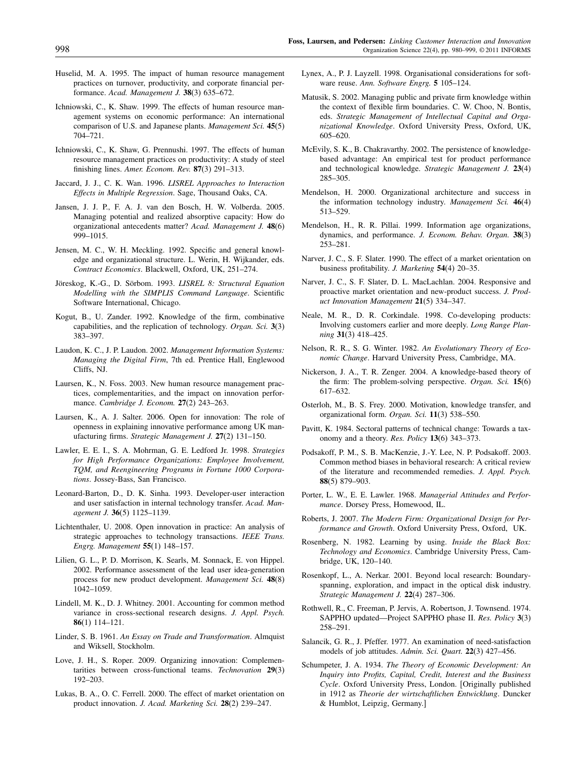- Huselid, M. A. 1995. The impact of human resource management practices on turnover, productivity, and corporate financial performance. Acad. Management J. 38(3) 635–672.
- Ichniowski, C., K. Shaw. 1999. The effects of human resource management systems on economic performance: An international comparison of U.S. and Japanese plants. Management Sci. 45(5) 704–721.
- Ichniowski, C., K. Shaw, G. Prennushi. 1997. The effects of human resource management practices on productivity: A study of steel finishing lines. Amer. Econom. Rev. 87(3) 291-313.
- Jaccard, J. J., C. K. Wan. 1996. LISREL Approaches to Interaction Effects in Multiple Regression. Sage, Thousand Oaks, CA.
- Jansen, J. J. P., F. A. J. van den Bosch, H. W. Volberda. 2005. Managing potential and realized absorptive capacity: How do organizational antecedents matter? Acad. Management J. 48(6) 999–1015.
- Jensen, M. C., W. H. Meckling. 1992. Specific and general knowledge and organizational structure. L. Werin, H. Wijkander, eds. Contract Economics. Blackwell, Oxford, UK, 251–274.
- Jöreskog, K.-G., D. Sörbom. 1993. LISREL 8: Structural Equation Modelling with the SIMPLIS Command Language. Scientific Software International, Chicago.
- Kogut, B., U. Zander. 1992. Knowledge of the firm, combinative capabilities, and the replication of technology. Organ. Sci. 3(3) 383–397.
- Laudon, K. C., J. P. Laudon. 2002. Management Information Systems: Managing the Digital Firm, 7th ed. Prentice Hall, Englewood Cliffs, NJ.
- Laursen, K., N. Foss. 2003. New human resource management practices, complementarities, and the impact on innovation performance. Cambridge J. Econom. 27(2) 243–263.
- Laursen, K., A. J. Salter. 2006. Open for innovation: The role of openness in explaining innovative performance among UK manufacturing firms. Strategic Management J. 27(2) 131–150.
- Lawler, E. E. I., S. A. Mohrman, G. E. Ledford Jr. 1998. Strategies for High Performance Organizations: Employee Involvement, TQM, and Reengineering Programs in Fortune 1000 Corporations. Jossey-Bass, San Francisco.
- Leonard-Barton, D., D. K. Sinha. 1993. Developer-user interaction and user satisfaction in internal technology transfer. Acad. Management J. 36(5) 1125–1139.
- Lichtenthaler, U. 2008. Open innovation in practice: An analysis of strategic approaches to technology transactions. IEEE Trans. Engrg. Management 55(1) 148–157.
- Lilien, G. L., P. D. Morrison, K. Searls, M. Sonnack, E. von Hippel. 2002. Performance assessment of the lead user idea-generation process for new product development. Management Sci. 48(8) 1042–1059.
- Lindell, M. K., D. J. Whitney. 2001. Accounting for common method variance in cross-sectional research designs. J. Appl. Psych. 86(1) 114–121.
- Linder, S. B. 1961. An Essay on Trade and Transformation. Almquist and Wiksell, Stockholm.
- Love, J. H., S. Roper. 2009. Organizing innovation: Complementarities between cross-functional teams. Technovation 29(3) 192–203.
- Lukas, B. A., O. C. Ferrell. 2000. The effect of market orientation on product innovation. J. Acad. Marketing Sci. 28(2) 239–247.
- Lynex, A., P. J. Layzell. 1998. Organisational considerations for software reuse. Ann. Software Engrg. 5 105-124.
- Matusik, S. 2002. Managing public and private firm knowledge within the context of flexible firm boundaries. C. W. Choo, N. Bontis, eds. Strategic Management of Intellectual Capital and Organizational Knowledge. Oxford University Press, Oxford, UK, 605–620.
- McEvily, S. K., B. Chakravarthy. 2002. The persistence of knowledgebased advantage: An empirical test for product performance and technological knowledge. Strategic Management J. 23(4) 285–305.
- Mendelson, H. 2000. Organizational architecture and success in the information technology industry. Management Sci. 46(4) 513–529.
- Mendelson, H., R. R. Pillai. 1999. Information age organizations, dynamics, and performance. J. Econom. Behav. Organ. 38(3) 253–281.
- Narver, J. C., S. F. Slater. 1990. The effect of a market orientation on business profitability. J. Marketing 54(4) 20–35.
- Narver, J. C., S. F. Slater, D. L. MacLachlan. 2004. Responsive and proactive market orientation and new-product success. J. Product Innovation Management 21(5) 334–347.
- Neale, M. R., D. R. Corkindale. 1998. Co-developing products: Involving customers earlier and more deeply. Long Range Planning 31(3) 418–425.
- Nelson, R. R., S. G. Winter. 1982. An Evolutionary Theory of Economic Change. Harvard University Press, Cambridge, MA.
- Nickerson, J. A., T. R. Zenger. 2004. A knowledge-based theory of the firm: The problem-solving perspective. Organ. Sci. 15(6) 617–632.
- Osterloh, M., B. S. Frey. 2000. Motivation, knowledge transfer, and organizational form. Organ. Sci. 11(3) 538–550.
- Pavitt, K. 1984. Sectoral patterns of technical change: Towards a taxonomy and a theory. Res. Policy 13(6) 343–373.
- Podsakoff, P. M., S. B. MacKenzie, J.-Y. Lee, N. P. Podsakoff. 2003. Common method biases in behavioral research: A critical review of the literature and recommended remedies. J. Appl. Psych. 88(5) 879–903.
- Porter, L. W., E. E. Lawler. 1968. Managerial Attitudes and Performance. Dorsey Press, Homewood, IL.
- Roberts, J. 2007. The Modern Firm: Organizational Design for Performance and Growth. Oxford University Press, Oxford, UK.
- Rosenberg, N. 1982. Learning by using. Inside the Black Box: Technology and Economics. Cambridge University Press, Cambridge, UK, 120–140.
- Rosenkopf, L., A. Nerkar. 2001. Beyond local research: Boundaryspanning, exploration, and impact in the optical disk industry. Strategic Management J. 22(4) 287–306.
- Rothwell, R., C. Freeman, P. Jervis, A. Robertson, J. Townsend. 1974. SAPPHO updated—Project SAPPHO phase II. Res. Policy 3(3) 258–291.
- Salancik, G. R., J. Pfeffer. 1977. An examination of need-satisfaction models of job attitudes. Admin. Sci. Quart. 22(3) 427–456.
- Schumpeter, J. A. 1934. The Theory of Economic Development: An Inquiry into Profits, Capital, Credit, Interest and the Business Cycle. Oxford University Press, London. [Originally published in 1912 as Theorie der wirtschaftlichen Entwicklung. Duncker & Humblot, Leipzig, Germany.]